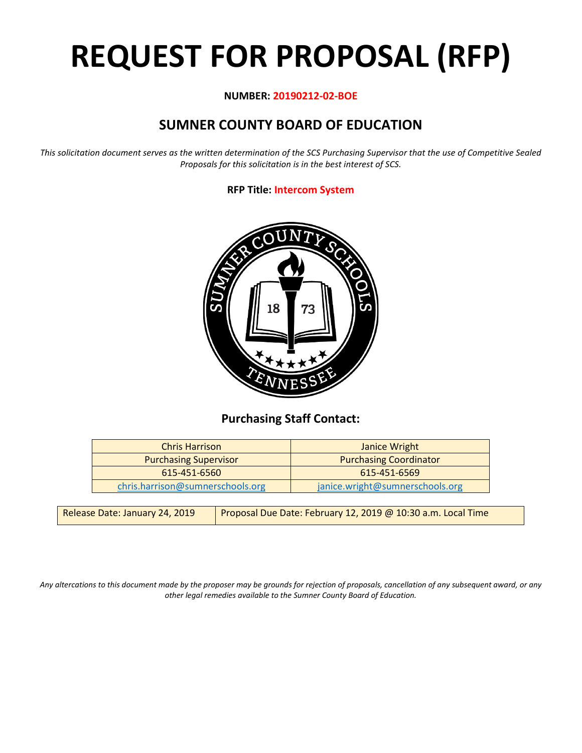# **REQUEST FOR PROPOSAL (RFP)**

# **NUMBER: 20190212-02-BOE**

# **SUMNER COUNTY BOARD OF EDUCATION**

*This solicitation document serves as the written determination of the SCS Purchasing Supervisor that the use of Competitive Sealed Proposals for this solicitation is in the best interest of SCS.*

# **RFP Title: Intercom System**



# **Purchasing Staff Contact:**

| <b>Chris Harrison</b>            | Janice Wright                   |
|----------------------------------|---------------------------------|
| <b>Purchasing Supervisor</b>     | <b>Purchasing Coordinator</b>   |
| 615-451-6560                     | 615-451-6569                    |
| chris.harrison@sumnerschools.org | janice.wright@sumnerschools.org |

| Release Date: January 24, 2019 | Proposal Due Date: February 12, 2019 @ 10:30 a.m. Local Time |
|--------------------------------|--------------------------------------------------------------|
|--------------------------------|--------------------------------------------------------------|

*Any altercations to this document made by the proposer may be grounds for rejection of proposals, cancellation of any subsequent award, or any other legal remedies available to the Sumner County Board of Education.*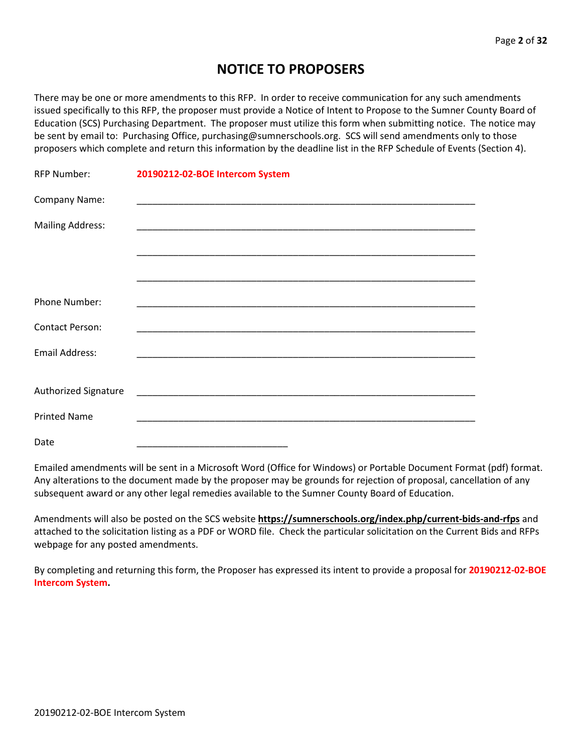# **NOTICE TO PROPOSERS**

There may be one or more amendments to this RFP. In order to receive communication for any such amendments issued specifically to this RFP, the proposer must provide a Notice of Intent to Propose to the Sumner County Board of Education (SCS) Purchasing Department. The proposer must utilize this form when submitting notice. The notice may be sent by email to: Purchasing Office, purchasing@sumnerschools.org. SCS will send amendments only to those proposers which complete and return this information by the deadline list in the RFP Schedule of Events (Section 4).

| <b>RFP Number:</b>      | 20190212-02-BOE Intercom System |
|-------------------------|---------------------------------|
| Company Name:           |                                 |
| <b>Mailing Address:</b> |                                 |
|                         |                                 |
|                         |                                 |
| Phone Number:           |                                 |
| <b>Contact Person:</b>  |                                 |
| <b>Email Address:</b>   |                                 |
| Authorized Signature    |                                 |
| <b>Printed Name</b>     |                                 |
| Date                    |                                 |

Emailed amendments will be sent in a Microsoft Word (Office for Windows) or Portable Document Format (pdf) format. Any alterations to the document made by the proposer may be grounds for rejection of proposal, cancellation of any subsequent award or any other legal remedies available to the Sumner County Board of Education.

Amendments will also be posted on the SCS website **https://sumnerschools.org/index.php/current-bids-and-rfps** and attached to the solicitation listing as a PDF or WORD file. Check the particular solicitation on the Current Bids and RFPs webpage for any posted amendments.

By completing and returning this form, the Proposer has expressed its intent to provide a proposal for **20190212-02-BOE Intercom System.**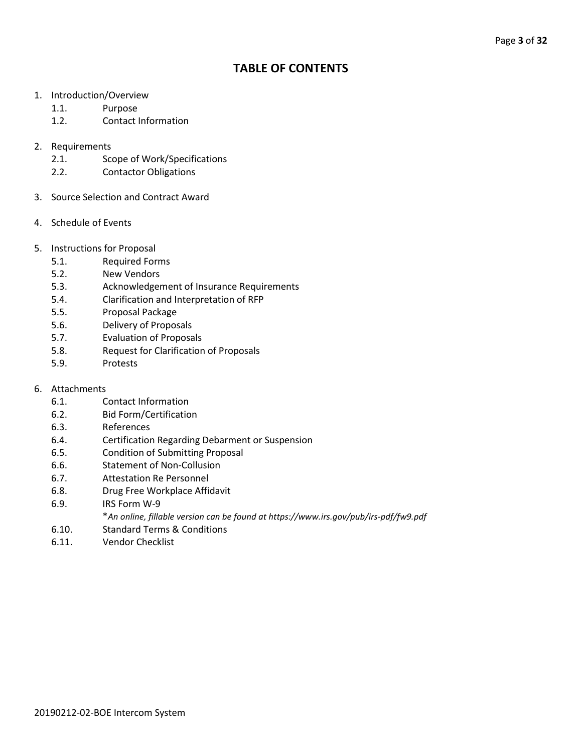# **TABLE OF CONTENTS**

- 1. Introduction/Overview
	- 1.1. Purpose
	- 1.2. Contact Information
- 2. Requirements
	- 2.1. Scope of Work/Specifications
	- 2.2. Contactor Obligations
- 3. Source Selection and Contract Award
- 4. Schedule of Events
- 5. Instructions for Proposal
	- 5.1. Required Forms
	- 5.2. New Vendors
	- 5.3. Acknowledgement of Insurance Requirements
	- 5.4. Clarification and Interpretation of RFP
	- 5.5. Proposal Package
	- 5.6. Delivery of Proposals
	- 5.7. Evaluation of Proposals
	- 5.8. Request for Clarification of Proposals
	- 5.9. Protests
- 6. Attachments
	- 6.1. Contact Information
	- 6.2. Bid Form/Certification
	- 6.3. References
	- 6.4. Certification Regarding Debarment or Suspension
	- 6.5. Condition of Submitting Proposal
	- 6.6. Statement of Non-Collusion
	- 6.7. Attestation Re Personnel
	- 6.8. Drug Free Workplace Affidavit
	- 6.9. IRS Form W-9
		- \**An online, fillable version can be found at https://www.irs.gov/pub/irs-pdf/fw9.pdf*
	- 6.10. Standard Terms & Conditions
	- 6.11. Vendor Checklist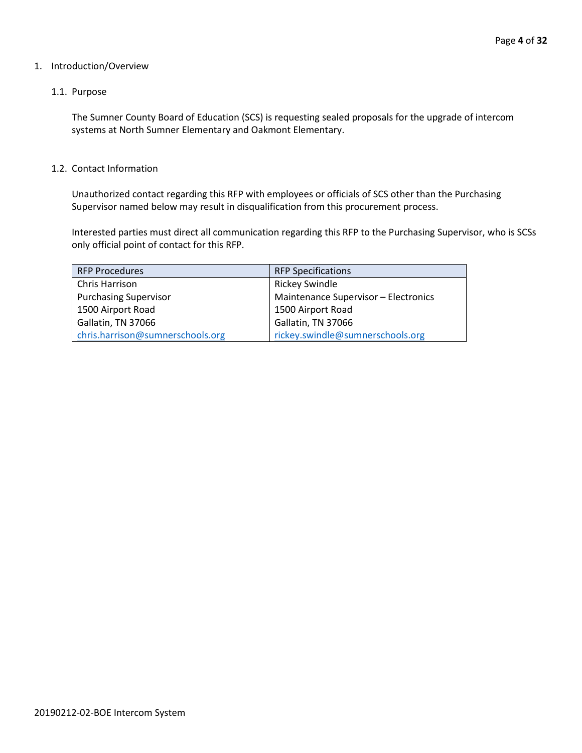# 1. Introduction/Overview

# 1.1. Purpose

The Sumner County Board of Education (SCS) is requesting sealed proposals for the upgrade of intercom systems at North Sumner Elementary and Oakmont Elementary.

#### 1.2. Contact Information

Unauthorized contact regarding this RFP with employees or officials of SCS other than the Purchasing Supervisor named below may result in disqualification from this procurement process.

Interested parties must direct all communication regarding this RFP to the Purchasing Supervisor, who is SCSs only official point of contact for this RFP.

| <b>RFP Procedures</b>            | <b>RFP Specifications</b>            |
|----------------------------------|--------------------------------------|
| Chris Harrison                   | <b>Rickey Swindle</b>                |
| <b>Purchasing Supervisor</b>     | Maintenance Supervisor - Electronics |
| 1500 Airport Road                | 1500 Airport Road                    |
| Gallatin, TN 37066               | Gallatin, TN 37066                   |
| chris.harrison@sumnerschools.org | rickey.swindle@sumnerschools.org     |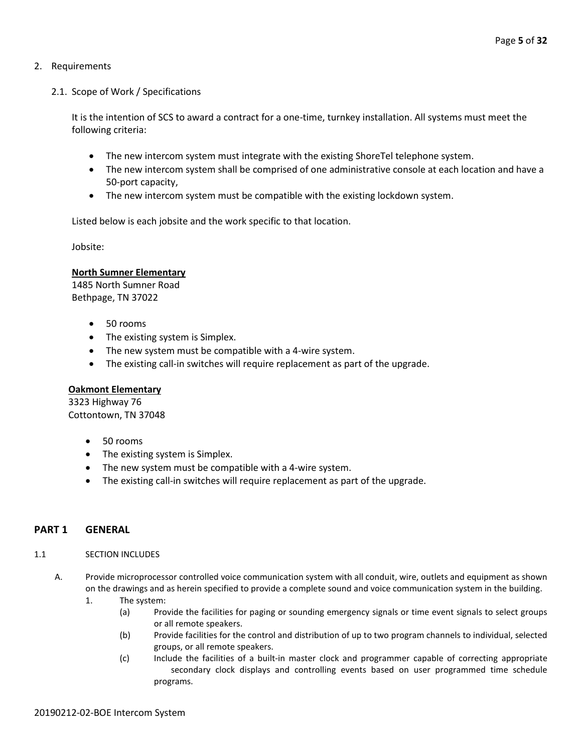# 2. Requirements

# 2.1. Scope of Work / Specifications

It is the intention of SCS to award a contract for a one-time, turnkey installation. All systems must meet the following criteria:

- The new intercom system must integrate with the existing ShoreTel telephone system.
- The new intercom system shall be comprised of one administrative console at each location and have a 50-port capacity,
- The new intercom system must be compatible with the existing lockdown system.

Listed below is each jobsite and the work specific to that location.

Jobsite:

# **North Sumner Elementary**

1485 North Sumner Road Bethpage, TN 37022

- 50 rooms
- The existing system is Simplex.
- The new system must be compatible with a 4-wire system.
- The existing call-in switches will require replacement as part of the upgrade.

# **Oakmont Elementary**

3323 Highway 76 Cottontown, TN 37048

- 50 rooms
- The existing system is Simplex.
- The new system must be compatible with a 4-wire system.
- The existing call-in switches will require replacement as part of the upgrade.

# **PART 1 GENERAL**

#### 1.1 SECTION INCLUDES

- A. Provide microprocessor controlled voice communication system with all conduit, wire, outlets and equipment as shown on the drawings and as herein specified to provide a complete sound and voice communication system in the building.
	- 1. The system:
		- (a) Provide the facilities for paging or sounding emergency signals or time event signals to select groups or all remote speakers.
		- (b) Provide facilities for the control and distribution of up to two program channels to individual, selected groups, or all remote speakers.
		- (c) Include the facilities of a built-in master clock and programmer capable of correcting appropriate secondary clock displays and controlling events based on user programmed time schedule programs.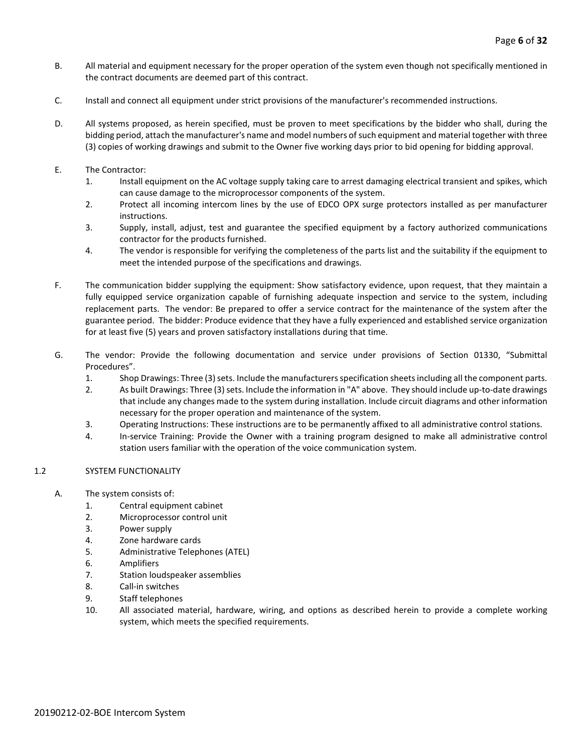- B. All material and equipment necessary for the proper operation of the system even though not specifically mentioned in the contract documents are deemed part of this contract.
- C. Install and connect all equipment under strict provisions of the manufacturer's recommended instructions.
- D. All systems proposed, as herein specified, must be proven to meet specifications by the bidder who shall, during the bidding period, attach the manufacturer's name and model numbers of such equipment and material together with three (3) copies of working drawings and submit to the Owner five working days prior to bid opening for bidding approval.
- E. The Contractor:
	- 1. Install equipment on the AC voltage supply taking care to arrest damaging electrical transient and spikes, which can cause damage to the microprocessor components of the system.
	- 2. Protect all incoming intercom lines by the use of EDCO OPX surge protectors installed as per manufacturer instructions.
	- 3. Supply, install, adjust, test and guarantee the specified equipment by a factory authorized communications contractor for the products furnished.
	- 4. The vendor is responsible for verifying the completeness of the parts list and the suitability if the equipment to meet the intended purpose of the specifications and drawings.
- F. The communication bidder supplying the equipment: Show satisfactory evidence, upon request, that they maintain a fully equipped service organization capable of furnishing adequate inspection and service to the system, including replacement parts. The vendor: Be prepared to offer a service contract for the maintenance of the system after the guarantee period. The bidder: Produce evidence that they have a fully experienced and established service organization for at least five (5) years and proven satisfactory installations during that time.
- G. The vendor: Provide the following documentation and service under provisions of Section 01330, "Submittal Procedures".
	- 1. Shop Drawings: Three (3) sets. Include the manufacturers specification sheets including all the component parts.
	- 2. As built Drawings: Three (3) sets. Include the information in "A" above. They should include up-to-date drawings that include any changes made to the system during installation. Include circuit diagrams and other information necessary for the proper operation and maintenance of the system.
	- 3. Operating Instructions: These instructions are to be permanently affixed to all administrative control stations.
	- 4. In-service Training: Provide the Owner with a training program designed to make all administrative control station users familiar with the operation of the voice communication system.

#### 1.2 SYSTEM FUNCTIONALITY

- A. The system consists of:
	- 1. Central equipment cabinet
	- 2. Microprocessor control unit
	- 3. Power supply
	- 4. Zone hardware cards
	- 5. Administrative Telephones (ATEL)
	- 6. Amplifiers
	- 7. Station loudspeaker assemblies
	- 8. Call-in switches
	- 9. Staff telephones
	- 10. All associated material, hardware, wiring, and options as described herein to provide a complete working system, which meets the specified requirements.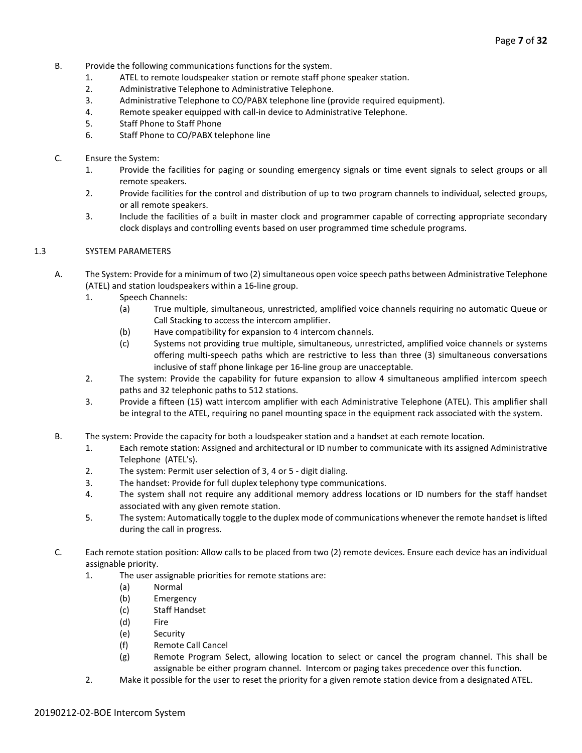- B. Provide the following communications functions for the system.
	- 1. ATEL to remote loudspeaker station or remote staff phone speaker station.
	- 2. Administrative Telephone to Administrative Telephone.
	- 3. Administrative Telephone to CO/PABX telephone line (provide required equipment).
	- 4. Remote speaker equipped with call-in device to Administrative Telephone.
	- 5. Staff Phone to Staff Phone
	- 6. Staff Phone to CO/PABX telephone line
- C. Ensure the System:
	- 1. Provide the facilities for paging or sounding emergency signals or time event signals to select groups or all remote speakers.
	- 2. Provide facilities for the control and distribution of up to two program channels to individual, selected groups, or all remote speakers.
	- 3. Include the facilities of a built in master clock and programmer capable of correcting appropriate secondary clock displays and controlling events based on user programmed time schedule programs.

#### 1.3 SYSTEM PARAMETERS

- A. The System: Provide for a minimum of two (2) simultaneous open voice speech paths between Administrative Telephone (ATEL) and station loudspeakers within a 16-line group.
	- 1. Speech Channels:
		- (a) True multiple, simultaneous, unrestricted, amplified voice channels requiring no automatic Queue or Call Stacking to access the intercom amplifier.
		- (b) Have compatibility for expansion to 4 intercom channels.
		- (c) Systems not providing true multiple, simultaneous, unrestricted, amplified voice channels or systems offering multi-speech paths which are restrictive to less than three (3) simultaneous conversations inclusive of staff phone linkage per 16-line group are unacceptable.
	- 2. The system: Provide the capability for future expansion to allow 4 simultaneous amplified intercom speech paths and 32 telephonic paths to 512 stations.
	- 3. Provide a fifteen (15) watt intercom amplifier with each Administrative Telephone (ATEL). This amplifier shall be integral to the ATEL, requiring no panel mounting space in the equipment rack associated with the system.
	- B. The system: Provide the capacity for both a loudspeaker station and a handset at each remote location.
		- 1. Each remote station: Assigned and architectural or ID number to communicate with its assigned Administrative Telephone (ATEL's).
		- 2. The system: Permit user selection of 3, 4 or 5 digit dialing.
		- 3. The handset: Provide for full duplex telephony type communications.
		- 4. The system shall not require any additional memory address locations or ID numbers for the staff handset associated with any given remote station.
		- 5. The system: Automatically toggle to the duplex mode of communications whenever the remote handset is lifted during the call in progress.
	- C. Each remote station position: Allow calls to be placed from two (2) remote devices. Ensure each device has an individual assignable priority.
		- 1. The user assignable priorities for remote stations are:
			- (a) Normal
			- (b) Emergency
			- (c) Staff Handset
			- (d) Fire
			- (e) Security
			- (f) Remote Call Cancel
			- (g) Remote Program Select, allowing location to select or cancel the program channel. This shall be assignable be either program channel. Intercom or paging takes precedence over this function.
		- 2. Make it possible for the user to reset the priority for a given remote station device from a designated ATEL.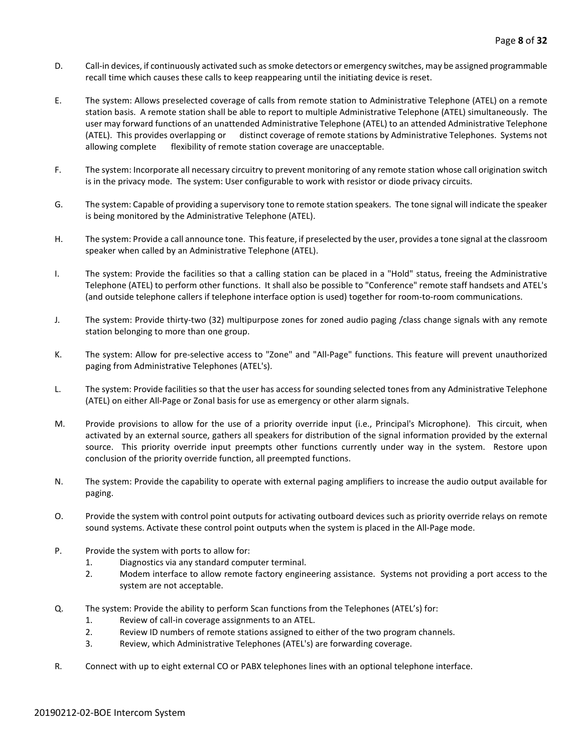- D. Call-in devices, if continuously activated such as smoke detectors or emergency switches, may be assigned programmable recall time which causes these calls to keep reappearing until the initiating device is reset.
- E. The system: Allows preselected coverage of calls from remote station to Administrative Telephone (ATEL) on a remote station basis. A remote station shall be able to report to multiple Administrative Telephone (ATEL) simultaneously. The user may forward functions of an unattended Administrative Telephone (ATEL) to an attended Administrative Telephone (ATEL). This provides overlapping or distinct coverage of remote stations by Administrative Telephones. Systems not allowing complete flexibility of remote station coverage are unacceptable.
- F. The system: Incorporate all necessary circuitry to prevent monitoring of any remote station whose call origination switch is in the privacy mode. The system: User configurable to work with resistor or diode privacy circuits.
- G. The system: Capable of providing a supervisory tone to remote station speakers. The tone signal will indicate the speaker is being monitored by the Administrative Telephone (ATEL).
- H. The system: Provide a call announce tone. This feature, if preselected by the user, provides a tone signal at the classroom speaker when called by an Administrative Telephone (ATEL).
- I. The system: Provide the facilities so that a calling station can be placed in a "Hold" status, freeing the Administrative Telephone (ATEL) to perform other functions. It shall also be possible to "Conference" remote staff handsets and ATEL's (and outside telephone callers if telephone interface option is used) together for room-to-room communications.
- J. The system: Provide thirty-two (32) multipurpose zones for zoned audio paging /class change signals with any remote station belonging to more than one group.
- K. The system: Allow for pre-selective access to "Zone" and "All-Page" functions. This feature will prevent unauthorized paging from Administrative Telephones (ATEL's).
- L. The system: Provide facilities so that the user has access for sounding selected tones from any Administrative Telephone (ATEL) on either All-Page or Zonal basis for use as emergency or other alarm signals.
- M. Provide provisions to allow for the use of a priority override input (i.e., Principal's Microphone). This circuit, when activated by an external source, gathers all speakers for distribution of the signal information provided by the external source. This priority override input preempts other functions currently under way in the system. Restore upon conclusion of the priority override function, all preempted functions.
- N. The system: Provide the capability to operate with external paging amplifiers to increase the audio output available for paging.
- O. Provide the system with control point outputs for activating outboard devices such as priority override relays on remote sound systems. Activate these control point outputs when the system is placed in the All-Page mode.
- P. Provide the system with ports to allow for:
	- 1. Diagnostics via any standard computer terminal.
	- 2. Modem interface to allow remote factory engineering assistance. Systems not providing a port access to the system are not acceptable.
- Q. The system: Provide the ability to perform Scan functions from the Telephones (ATEL's) for:
	- 1. Review of call-in coverage assignments to an ATEL.
	- 2. Review ID numbers of remote stations assigned to either of the two program channels.
	- 3. Review, which Administrative Telephones (ATEL's) are forwarding coverage.
- R. Connect with up to eight external CO or PABX telephones lines with an optional telephone interface.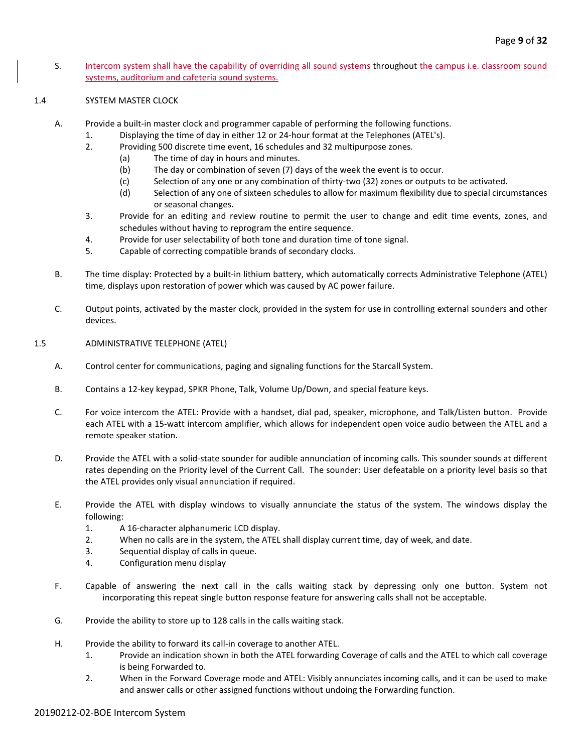S. Intercom system shall have the capability of overriding all sound systems throughout the campus i.e. classroom sound systems, auditorium and cafeteria sound systems.

#### 1.4 SYSTEM MASTER CLOCK

- A. Provide a built-in master clock and programmer capable of performing the following functions.
	- 1. Displaying the time of day in either 12 or 24-hour format at the Telephones (ATEL's).
	- 2. Providing 500 discrete time event, 16 schedules and 32 multipurpose zones.
		- (a) The time of day in hours and minutes.
		- (b) The day or combination of seven (7) days of the week the event is to occur.
		- (c) Selection of any one or any combination of thirty-two (32) zones or outputs to be activated.
		- (d) Selection of any one of sixteen schedules to allow for maximum flexibility due to special circumstances or seasonal changes.
	- 3. Provide for an editing and review routine to permit the user to change and edit time events, zones, and schedules without having to reprogram the entire sequence.
	- 4. Provide for user selectability of both tone and duration time of tone signal.
	- 5. Capable of correcting compatible brands of secondary clocks.
- B. The time display: Protected by a built-in lithium battery, which automatically corrects Administrative Telephone (ATEL) time, displays upon restoration of power which was caused by AC power failure.
- C. Output points, activated by the master clock, provided in the system for use in controlling external sounders and other devices.

#### 1.5 ADMINISTRATIVE TELEPHONE (ATEL)

- A. Control center for communications, paging and signaling functions for the Starcall System.
- B. Contains a 12-key keypad, SPKR Phone, Talk, Volume Up/Down, and special feature keys.
- C. For voice intercom the ATEL: Provide with a handset, dial pad, speaker, microphone, and Talk/Listen button. Provide each ATEL with a 15-watt intercom amplifier, which allows for independent open voice audio between the ATEL and a remote speaker station.
- D. Provide the ATEL with a solid-state sounder for audible annunciation of incoming calls. This sounder sounds at different rates depending on the Priority level of the Current Call. The sounder: User defeatable on a priority level basis so that the ATEL provides only visual annunciation if required.
- E. Provide the ATEL with display windows to visually annunciate the status of the system. The windows display the following:
	- 1. A 16-character alphanumeric LCD display.
	- 2. When no calls are in the system, the ATEL shall display current time, day of week, and date.
	- 3. Sequential display of calls in queue.
	- 4. Configuration menu display
- F. Capable of answering the next call in the calls waiting stack by depressing only one button. System not incorporating this repeat single button response feature for answering calls shall not be acceptable.
- G. Provide the ability to store up to 128 calls in the calls waiting stack.
- H. Provide the ability to forward its call-in coverage to another ATEL.
	- 1. Provide an indication shown in both the ATEL forwarding Coverage of calls and the ATEL to which call coverage is being Forwarded to.
	- 2. When in the Forward Coverage mode and ATEL: Visibly annunciates incoming calls, and it can be used to make and answer calls or other assigned functions without undoing the Forwarding function.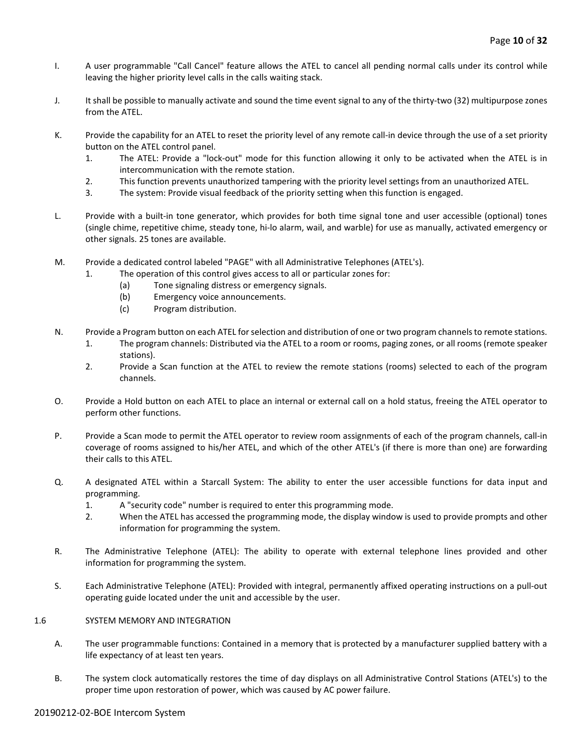- I. A user programmable "Call Cancel" feature allows the ATEL to cancel all pending normal calls under its control while leaving the higher priority level calls in the calls waiting stack.
- J. It shall be possible to manually activate and sound the time event signal to any of the thirty-two (32) multipurpose zones from the ATEL.
- K. Provide the capability for an ATEL to reset the priority level of any remote call-in device through the use of a set priority button on the ATEL control panel.
	- 1. The ATEL: Provide a "lock-out" mode for this function allowing it only to be activated when the ATEL is in intercommunication with the remote station.
	- 2. This function prevents unauthorized tampering with the priority level settings from an unauthorized ATEL.
	- 3. The system: Provide visual feedback of the priority setting when this function is engaged.
- L. Provide with a built-in tone generator, which provides for both time signal tone and user accessible (optional) tones (single chime, repetitive chime, steady tone, hi-lo alarm, wail, and warble) for use as manually, activated emergency or other signals. 25 tones are available.
- M. Provide a dedicated control labeled "PAGE" with all Administrative Telephones (ATEL's).
	- 1. The operation of this control gives access to all or particular zones for:
		- (a) Tone signaling distress or emergency signals.
		- (b) Emergency voice announcements.
		- (c) Program distribution.
- N. Provide a Program button on each ATEL for selection and distribution of one or two program channels to remote stations.
	- 1. The program channels: Distributed via the ATEL to a room or rooms, paging zones, or all rooms (remote speaker stations).
	- 2. Provide a Scan function at the ATEL to review the remote stations (rooms) selected to each of the program channels.
- O. Provide a Hold button on each ATEL to place an internal or external call on a hold status, freeing the ATEL operator to perform other functions.
- P. Provide a Scan mode to permit the ATEL operator to review room assignments of each of the program channels, call-in coverage of rooms assigned to his/her ATEL, and which of the other ATEL's (if there is more than one) are forwarding their calls to this ATEL.
- Q. A designated ATEL within a Starcall System: The ability to enter the user accessible functions for data input and programming.
	- 1. A "security code" number is required to enter this programming mode.
	- 2. When the ATEL has accessed the programming mode, the display window is used to provide prompts and other information for programming the system.
- R. The Administrative Telephone (ATEL): The ability to operate with external telephone lines provided and other information for programming the system.
- S. Each Administrative Telephone (ATEL): Provided with integral, permanently affixed operating instructions on a pull-out operating guide located under the unit and accessible by the user.
- 1.6 SYSTEM MEMORY AND INTEGRATION
	- A. The user programmable functions: Contained in a memory that is protected by a manufacturer supplied battery with a life expectancy of at least ten years.
	- B. The system clock automatically restores the time of day displays on all Administrative Control Stations (ATEL's) to the proper time upon restoration of power, which was caused by AC power failure.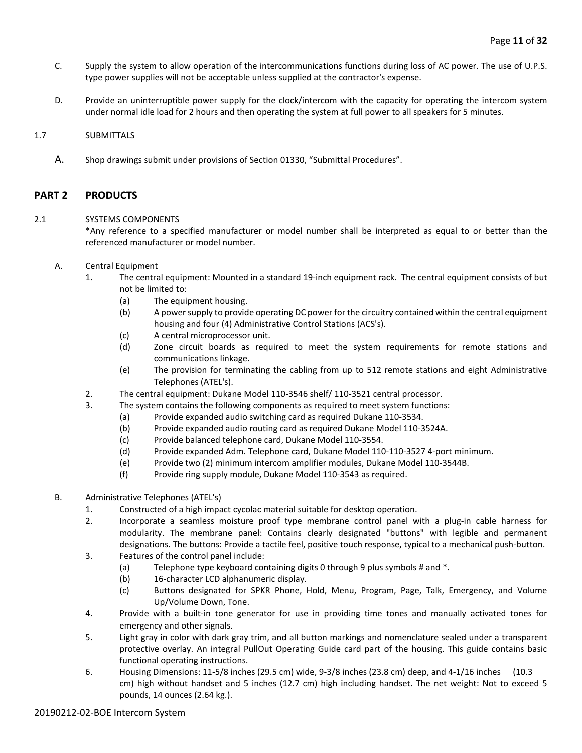- C. Supply the system to allow operation of the intercommunications functions during loss of AC power. The use of U.P.S. type power supplies will not be acceptable unless supplied at the contractor's expense.
- D. Provide an uninterruptible power supply for the clock/intercom with the capacity for operating the intercom system under normal idle load for 2 hours and then operating the system at full power to all speakers for 5 minutes.

#### 1.7 SUBMITTALS

A. Shop drawings submit under provisions of Section 01330, "Submittal Procedures".

# **PART 2 PRODUCTS**

#### 2.1 SYSTEMS COMPONENTS

\*Any reference to a specified manufacturer or model number shall be interpreted as equal to or better than the referenced manufacturer or model number.

- A. Central Equipment
	- 1. The central equipment: Mounted in a standard 19-inch equipment rack. The central equipment consists of but not be limited to:
		- (a) The equipment housing.
		- (b) A power supply to provide operating DC power for the circuitry contained within the central equipment housing and four (4) Administrative Control Stations (ACS's).
		- (c) A central microprocessor unit.
		- (d) Zone circuit boards as required to meet the system requirements for remote stations and communications linkage.
		- (e) The provision for terminating the cabling from up to 512 remote stations and eight Administrative Telephones (ATEL's).
	- 2. The central equipment: Dukane Model 110-3546 shelf/ 110-3521 central processor.
	- 3. The system contains the following components as required to meet system functions:
		- (a) Provide expanded audio switching card as required Dukane 110-3534.
			- (b) Provide expanded audio routing card as required Dukane Model 110-3524A.
			- (c) Provide balanced telephone card, Dukane Model 110-3554.
			- (d) Provide expanded Adm. Telephone card, Dukane Model 110-110-3527 4-port minimum.
			- (e) Provide two (2) minimum intercom amplifier modules, Dukane Model 110-3544B.
			- (f) Provide ring supply module, Dukane Model 110-3543 as required.
- B. Administrative Telephones (ATEL's)
	- 1. Constructed of a high impact cycolac material suitable for desktop operation.
	- 2. Incorporate a seamless moisture proof type membrane control panel with a plug-in cable harness for modularity. The membrane panel: Contains clearly designated "buttons" with legible and permanent designations. The buttons: Provide a tactile feel, positive touch response, typical to a mechanical push-button.
	- 3. Features of the control panel include:
		- (a) Telephone type keyboard containing digits 0 through 9 plus symbols # and \*.
		- (b) 16-character LCD alphanumeric display.
		- (c) Buttons designated for SPKR Phone, Hold, Menu, Program, Page, Talk, Emergency, and Volume Up/Volume Down, Tone.
	- 4. Provide with a built-in tone generator for use in providing time tones and manually activated tones for emergency and other signals.
	- 5. Light gray in color with dark gray trim, and all button markings and nomenclature sealed under a transparent protective overlay. An integral PullOut Operating Guide card part of the housing. This guide contains basic functional operating instructions.
	- 6. Housing Dimensions: 11-5/8 inches (29.5 cm) wide, 9-3/8 inches (23.8 cm) deep, and 4-1/16 inches (10.3 cm) high without handset and 5 inches (12.7 cm) high including handset. The net weight: Not to exceed 5 pounds, 14 ounces (2.64 kg.).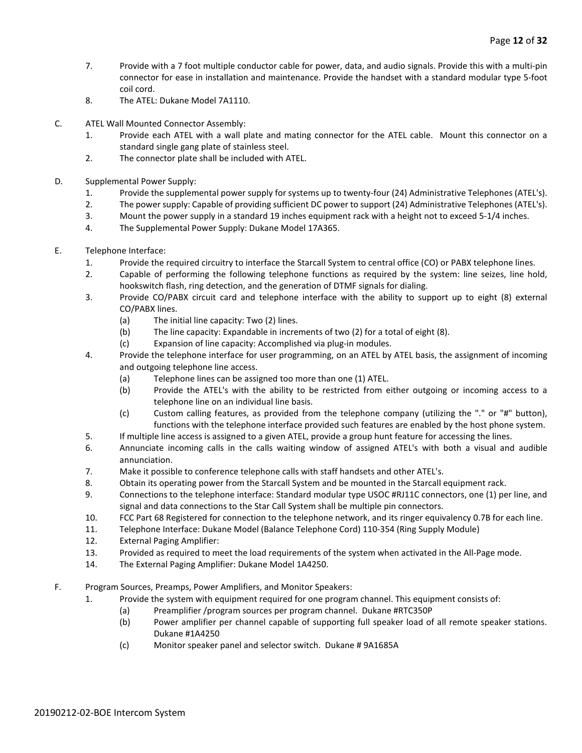- 7. Provide with a 7 foot multiple conductor cable for power, data, and audio signals. Provide this with a multi-pin connector for ease in installation and maintenance. Provide the handset with a standard modular type 5-foot coil cord.
- 8. The ATEL: Dukane Model 7A1110.
- C. ATEL Wall Mounted Connector Assembly:
	- 1. Provide each ATEL with a wall plate and mating connector for the ATEL cable. Mount this connector on a standard single gang plate of stainless steel.
	- 2. The connector plate shall be included with ATEL.
- D. Supplemental Power Supply:
	- 1. Provide the supplemental power supply for systems up to twenty-four (24) Administrative Telephones (ATEL's).
	- 2. The power supply: Capable of providing sufficient DC power to support (24) Administrative Telephones (ATEL's).
	- 3. Mount the power supply in a standard 19 inches equipment rack with a height not to exceed 5-1/4 inches.
	- 4. The Supplemental Power Supply: Dukane Model 17A365.
- E. Telephone Interface:
	- 1. Provide the required circuitry to interface the Starcall System to central office (CO) or PABX telephone lines.
	- 2. Capable of performing the following telephone functions as required by the system: line seizes, line hold, hookswitch flash, ring detection, and the generation of DTMF signals for dialing.
	- 3. Provide CO/PABX circuit card and telephone interface with the ability to support up to eight (8) external CO/PABX lines.
		- (a) The initial line capacity: Two (2) lines.
		- (b) The line capacity: Expandable in increments of two (2) for a total of eight (8).
		- (c) Expansion of line capacity: Accomplished via plug-in modules.
	- 4. Provide the telephone interface for user programming, on an ATEL by ATEL basis, the assignment of incoming and outgoing telephone line access.
		- (a) Telephone lines can be assigned too more than one (1) ATEL.
		- (b) Provide the ATEL's with the ability to be restricted from either outgoing or incoming access to a telephone line on an individual line basis.
		- (c) Custom calling features, as provided from the telephone company (utilizing the "." or "#" button), functions with the telephone interface provided such features are enabled by the host phone system.
	- 5. If multiple line access is assigned to a given ATEL, provide a group hunt feature for accessing the lines.
	- 6. Annunciate incoming calls in the calls waiting window of assigned ATEL's with both a visual and audible annunciation.
	- 7. Make it possible to conference telephone calls with staff handsets and other ATEL's.
	- 8. Obtain its operating power from the Starcall System and be mounted in the Starcall equipment rack.
	- 9. Connections to the telephone interface: Standard modular type USOC #RJ11C connectors, one (1) per line, and signal and data connections to the Star Call System shall be multiple pin connectors.
	- 10. FCC Part 68 Registered for connection to the telephone network, and its ringer equivalency 0.7B for each line.
	- 11. Telephone Interface: Dukane Model (Balance Telephone Cord) 110-354 (Ring Supply Module)
	- 12. External Paging Amplifier:
	- 13. Provided as required to meet the load requirements of the system when activated in the All-Page mode.
	- 14. The External Paging Amplifier: Dukane Model 1A4250.
- F. Program Sources, Preamps, Power Amplifiers, and Monitor Speakers:
	- 1. Provide the system with equipment required for one program channel. This equipment consists of:
		- (a) Preamplifier /program sources per program channel. Dukane #RTC350P
		- (b) Power amplifier per channel capable of supporting full speaker load of all remote speaker stations. Dukane #1A4250
		- (c) Monitor speaker panel and selector switch. Dukane # 9A1685A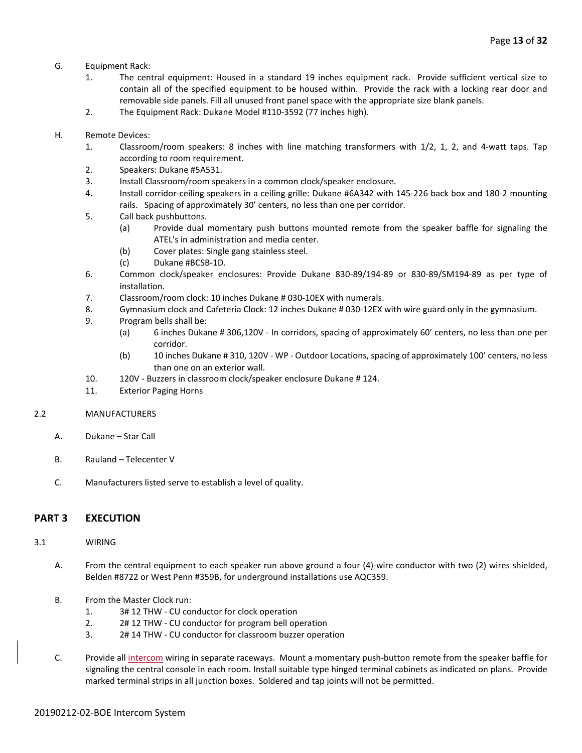- G. Equipment Rack:
	- 1. The central equipment: Housed in a standard 19 inches equipment rack. Provide sufficient vertical size to contain all of the specified equipment to be housed within. Provide the rack with a locking rear door and removable side panels. Fill all unused front panel space with the appropriate size blank panels.
	- 2. The Equipment Rack: Dukane Model #110-3592 (77 inches high).
- H. Remote Devices:
	- 1. Classroom/room speakers: 8 inches with line matching transformers with 1/2, 1, 2, and 4-watt taps. Tap according to room requirement.
	- 2. Speakers: Dukane #5A531.
	- 3. Install Classroom/room speakers in a common clock/speaker enclosure.
	- 4. Install corridor-ceiling speakers in a ceiling grille: Dukane #6A342 with 145-226 back box and 180-2 mounting rails. Spacing of approximately 30' centers, no less than one per corridor.
	- 5. Call back pushbuttons.
		- (a) Provide dual momentary push buttons mounted remote from the speaker baffle for signaling the ATEL's in administration and media center.
		- (b) Cover plates: Single gang stainless steel.
		- (c) Dukane #BCSB-1D.
	- 6. Common clock/speaker enclosures: Provide Dukane 830-89/194-89 or 830-89/SM194-89 as per type of installation.
	- 7. Classroom/room clock: 10 inches Dukane # 030-10EX with numerals.
	- 8. Gymnasium clock and Cafeteria Clock: 12 inches Dukane # 030-12EX with wire guard only in the gymnasium.
	- 9. Program bells shall be:
		- (a) 6 inches Dukane # 306,120V In corridors, spacing of approximately 60' centers, no less than one per corridor.
		- (b) 10 inches Dukane # 310, 120V WP Outdoor Locations, spacing of approximately 100' centers, no less than one on an exterior wall.
	- 10. 120V Buzzers in classroom clock/speaker enclosure Dukane # 124.
	- 11. Exterior Paging Horns

#### 2.2 MANUFACTURERS

- A. Dukane Star Call
- B. Rauland Telecenter V
- C. Manufacturers listed serve to establish a level of quality.

# **PART 3 EXECUTION**

#### 3.1 WIRING

- A. From the central equipment to each speaker run above ground a four (4)-wire conductor with two (2) wires shielded, Belden #8722 or West Penn #359B, for underground installations use AQC359.
- B. From the Master Clock run:
	- 1. 3# 12 THW CU conductor for clock operation
	- 2. 2# 12 THW CU conductor for program bell operation
	- 3. 2# 14 THW CU conductor for classroom buzzer operation
- C. Provide all intercom wiring in separate raceways. Mount a momentary push-button remote from the speaker baffle for signaling the central console in each room. Install suitable type hinged terminal cabinets as indicated on plans. Provide marked terminal strips in all junction boxes. Soldered and tap joints will not be permitted.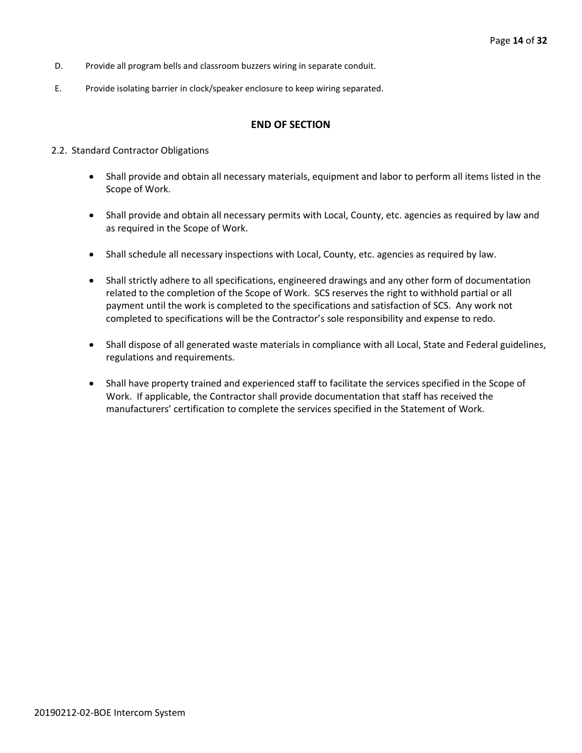- D. Provide all program bells and classroom buzzers wiring in separate conduit.
- E. Provide isolating barrier in clock/speaker enclosure to keep wiring separated.

# **END OF SECTION**

#### 2.2. Standard Contractor Obligations

- Shall provide and obtain all necessary materials, equipment and labor to perform all items listed in the Scope of Work.
- Shall provide and obtain all necessary permits with Local, County, etc. agencies as required by law and as required in the Scope of Work.
- Shall schedule all necessary inspections with Local, County, etc. agencies as required by law.
- Shall strictly adhere to all specifications, engineered drawings and any other form of documentation related to the completion of the Scope of Work. SCS reserves the right to withhold partial or all payment until the work is completed to the specifications and satisfaction of SCS. Any work not completed to specifications will be the Contractor's sole responsibility and expense to redo.
- Shall dispose of all generated waste materials in compliance with all Local, State and Federal guidelines, regulations and requirements.
- Shall have property trained and experienced staff to facilitate the services specified in the Scope of Work. If applicable, the Contractor shall provide documentation that staff has received the manufacturers' certification to complete the services specified in the Statement of Work.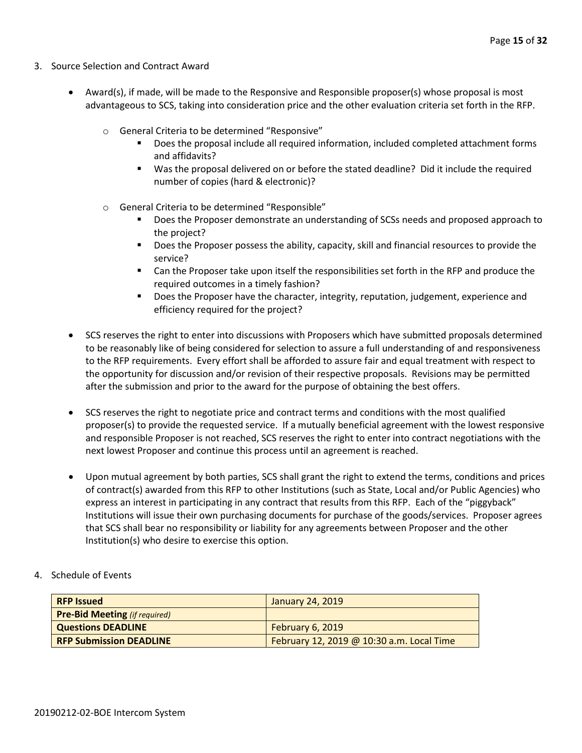- 3. Source Selection and Contract Award
	- Award(s), if made, will be made to the Responsive and Responsible proposer(s) whose proposal is most advantageous to SCS, taking into consideration price and the other evaluation criteria set forth in the RFP.
		- o General Criteria to be determined "Responsive"
			- Does the proposal include all required information, included completed attachment forms and affidavits?
			- Was the proposal delivered on or before the stated deadline? Did it include the required number of copies (hard & electronic)?
		- o General Criteria to be determined "Responsible"
			- Does the Proposer demonstrate an understanding of SCSs needs and proposed approach to the project?
			- **Does the Proposer possess the ability, capacity, skill and financial resources to provide the** service?
			- Can the Proposer take upon itself the responsibilities set forth in the RFP and produce the required outcomes in a timely fashion?
			- **Does the Proposer have the character, integrity, reputation, judgement, experience and** efficiency required for the project?
	- SCS reserves the right to enter into discussions with Proposers which have submitted proposals determined to be reasonably like of being considered for selection to assure a full understanding of and responsiveness to the RFP requirements. Every effort shall be afforded to assure fair and equal treatment with respect to the opportunity for discussion and/or revision of their respective proposals. Revisions may be permitted after the submission and prior to the award for the purpose of obtaining the best offers.
	- SCS reserves the right to negotiate price and contract terms and conditions with the most qualified proposer(s) to provide the requested service. If a mutually beneficial agreement with the lowest responsive and responsible Proposer is not reached, SCS reserves the right to enter into contract negotiations with the next lowest Proposer and continue this process until an agreement is reached.
	- Upon mutual agreement by both parties, SCS shall grant the right to extend the terms, conditions and prices of contract(s) awarded from this RFP to other Institutions (such as State, Local and/or Public Agencies) who express an interest in participating in any contract that results from this RFP. Each of the "piggyback" Institutions will issue their own purchasing documents for purchase of the goods/services. Proposer agrees that SCS shall bear no responsibility or liability for any agreements between Proposer and the other Institution(s) who desire to exercise this option.
- 4. Schedule of Events

| <b>RFP Issued</b>                    | January 24, 2019                          |
|--------------------------------------|-------------------------------------------|
| <b>Pre-Bid Meeting (if required)</b> |                                           |
| <b>Questions DEADLINE</b>            | February 6, 2019                          |
| <b>RFP Submission DEADLINE</b>       | February 12, 2019 @ 10:30 a.m. Local Time |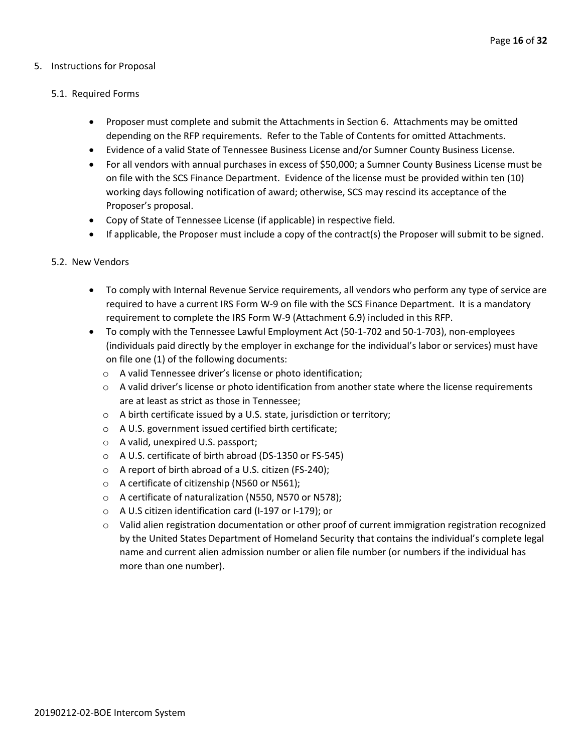# 5. Instructions for Proposal

# 5.1. Required Forms

- Proposer must complete and submit the Attachments in Section 6. Attachments may be omitted depending on the RFP requirements. Refer to the Table of Contents for omitted Attachments.
- Evidence of a valid State of Tennessee Business License and/or Sumner County Business License.
- For all vendors with annual purchases in excess of \$50,000; a Sumner County Business License must be on file with the SCS Finance Department. Evidence of the license must be provided within ten (10) working days following notification of award; otherwise, SCS may rescind its acceptance of the Proposer's proposal.
- Copy of State of Tennessee License (if applicable) in respective field.
- If applicable, the Proposer must include a copy of the contract(s) the Proposer will submit to be signed.

# 5.2. New Vendors

- To comply with Internal Revenue Service requirements, all vendors who perform any type of service are required to have a current IRS Form W-9 on file with the SCS Finance Department. It is a mandatory requirement to complete the IRS Form W-9 (Attachment 6.9) included in this RFP.
- To comply with the Tennessee Lawful Employment Act (50-1-702 and 50-1-703), non-employees (individuals paid directly by the employer in exchange for the individual's labor or services) must have on file one (1) of the following documents:
	- o A valid Tennessee driver's license or photo identification;
	- $\circ$  A valid driver's license or photo identification from another state where the license requirements are at least as strict as those in Tennessee;
	- o A birth certificate issued by a U.S. state, jurisdiction or territory;
	- o A U.S. government issued certified birth certificate;
	- o A valid, unexpired U.S. passport;
	- o A U.S. certificate of birth abroad (DS-1350 or FS-545)
	- o A report of birth abroad of a U.S. citizen (FS-240);
	- o A certificate of citizenship (N560 or N561);
	- o A certificate of naturalization (N550, N570 or N578);
	- o A U.S citizen identification card (I-197 or I-179); or
	- $\circ$  Valid alien registration documentation or other proof of current immigration registration recognized by the United States Department of Homeland Security that contains the individual's complete legal name and current alien admission number or alien file number (or numbers if the individual has more than one number).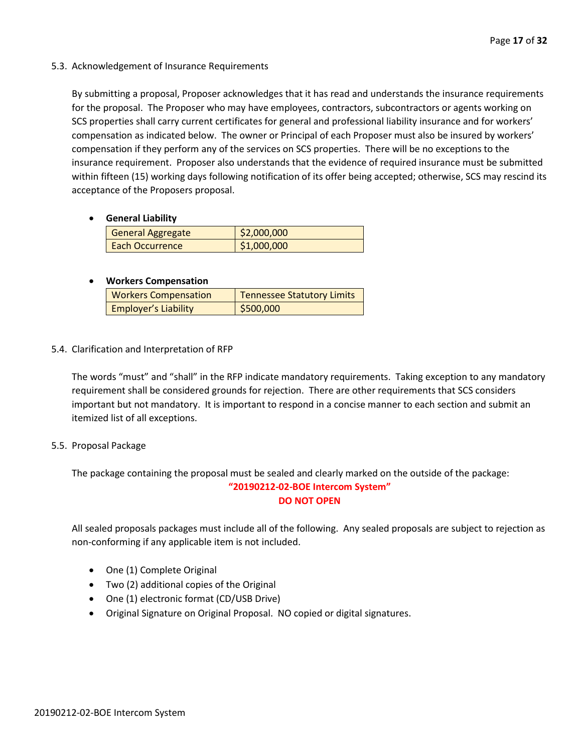5.3. Acknowledgement of Insurance Requirements

By submitting a proposal, Proposer acknowledges that it has read and understands the insurance requirements for the proposal. The Proposer who may have employees, contractors, subcontractors or agents working on SCS properties shall carry current certificates for general and professional liability insurance and for workers' compensation as indicated below. The owner or Principal of each Proposer must also be insured by workers' compensation if they perform any of the services on SCS properties. There will be no exceptions to the insurance requirement. Proposer also understands that the evidence of required insurance must be submitted within fifteen (15) working days following notification of its offer being accepted; otherwise, SCS may rescind its acceptance of the Proposers proposal.

• **General Liability**

| <b>General Aggregate</b> | \$2,000,000 |
|--------------------------|-------------|
| <b>Each Occurrence</b>   | \$1,000,000 |

# • **Workers Compensation**

| <b>Workers Compensation</b> | <b>Tennessee Statutory Limits</b> |
|-----------------------------|-----------------------------------|
| <b>Employer's Liability</b> | \$500,000                         |

5.4. Clarification and Interpretation of RFP

The words "must" and "shall" in the RFP indicate mandatory requirements. Taking exception to any mandatory requirement shall be considered grounds for rejection. There are other requirements that SCS considers important but not mandatory. It is important to respond in a concise manner to each section and submit an itemized list of all exceptions.

5.5. Proposal Package

The package containing the proposal must be sealed and clearly marked on the outside of the package: **"20190212-02-BOE Intercom System"**

**DO NOT OPEN**

All sealed proposals packages must include all of the following. Any sealed proposals are subject to rejection as non-conforming if any applicable item is not included.

- One (1) Complete Original
- Two (2) additional copies of the Original
- One (1) electronic format (CD/USB Drive)
- Original Signature on Original Proposal. NO copied or digital signatures.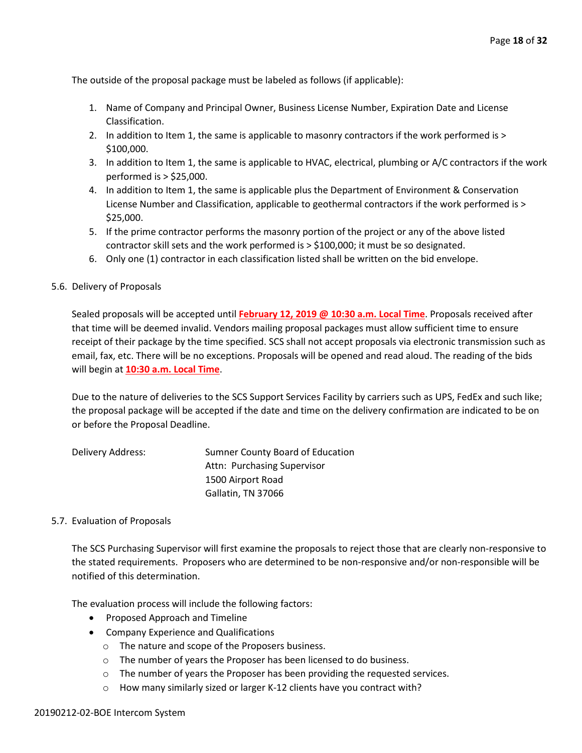The outside of the proposal package must be labeled as follows (if applicable):

- 1. Name of Company and Principal Owner, Business License Number, Expiration Date and License Classification.
- 2. In addition to Item 1, the same is applicable to masonry contractors if the work performed is > \$100,000.
- 3. In addition to Item 1, the same is applicable to HVAC, electrical, plumbing or A/C contractors if the work performed is > \$25,000.
- 4. In addition to Item 1, the same is applicable plus the Department of Environment & Conservation License Number and Classification, applicable to geothermal contractors if the work performed is > \$25,000.
- 5. If the prime contractor performs the masonry portion of the project or any of the above listed contractor skill sets and the work performed is > \$100,000; it must be so designated.
- 6. Only one (1) contractor in each classification listed shall be written on the bid envelope.

# 5.6. Delivery of Proposals

Sealed proposals will be accepted until **February 12, 2019 @ 10:30 a.m. Local Time**. Proposals received after that time will be deemed invalid. Vendors mailing proposal packages must allow sufficient time to ensure receipt of their package by the time specified. SCS shall not accept proposals via electronic transmission such as email, fax, etc. There will be no exceptions. Proposals will be opened and read aloud. The reading of the bids will begin at **10:30 a.m. Local Time**.

Due to the nature of deliveries to the SCS Support Services Facility by carriers such as UPS, FedEx and such like; the proposal package will be accepted if the date and time on the delivery confirmation are indicated to be on or before the Proposal Deadline.

| Delivery Address: | Sumner County Board of Education |
|-------------------|----------------------------------|
|                   | Attn: Purchasing Supervisor      |
|                   | 1500 Airport Road                |
|                   | Gallatin, TN 37066               |

# 5.7. Evaluation of Proposals

The SCS Purchasing Supervisor will first examine the proposals to reject those that are clearly non-responsive to the stated requirements. Proposers who are determined to be non-responsive and/or non-responsible will be notified of this determination.

The evaluation process will include the following factors:

- Proposed Approach and Timeline
- Company Experience and Qualifications
	- o The nature and scope of the Proposers business.
	- o The number of years the Proposer has been licensed to do business.
	- o The number of years the Proposer has been providing the requested services.
	- o How many similarly sized or larger K-12 clients have you contract with?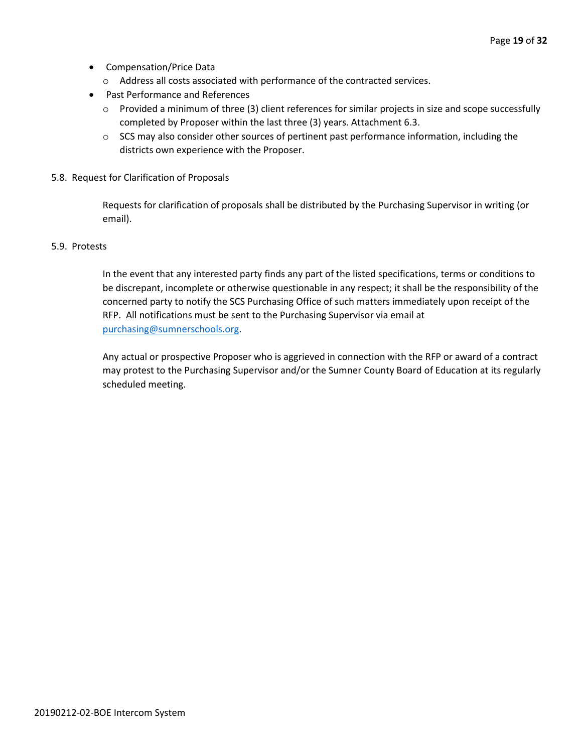- Compensation/Price Data
	- o Address all costs associated with performance of the contracted services.
- Past Performance and References
	- o Provided a minimum of three (3) client references for similar projects in size and scope successfully completed by Proposer within the last three (3) years. Attachment 6.3.
	- $\circ$  SCS may also consider other sources of pertinent past performance information, including the districts own experience with the Proposer.
- 5.8. Request for Clarification of Proposals

Requests for clarification of proposals shall be distributed by the Purchasing Supervisor in writing (or email).

# 5.9. Protests

In the event that any interested party finds any part of the listed specifications, terms or conditions to be discrepant, incomplete or otherwise questionable in any respect; it shall be the responsibility of the concerned party to notify the SCS Purchasing Office of such matters immediately upon receipt of the RFP. All notifications must be sent to the Purchasing Supervisor via email at [purchasing@sumnerschools.org.](mailto:purchasing@sumnerschools.org)

Any actual or prospective Proposer who is aggrieved in connection with the RFP or award of a contract may protest to the Purchasing Supervisor and/or the Sumner County Board of Education at its regularly scheduled meeting.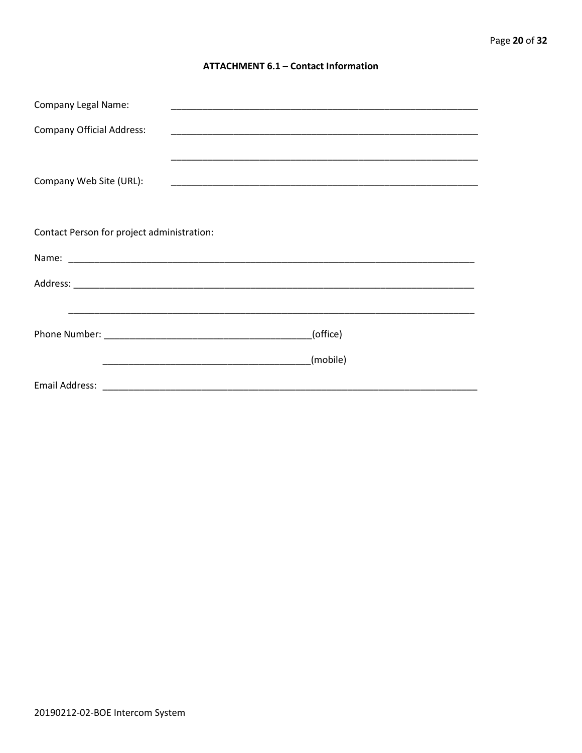# **ATTACHMENT 6.1 - Contact Information**

| <b>Company Legal Name:</b>                 |          |  |
|--------------------------------------------|----------|--|
| <b>Company Official Address:</b>           |          |  |
|                                            |          |  |
| Company Web Site (URL):                    |          |  |
|                                            |          |  |
| Contact Person for project administration: |          |  |
|                                            |          |  |
|                                            |          |  |
|                                            |          |  |
| (office)                                   |          |  |
|                                            | (mobile) |  |
|                                            |          |  |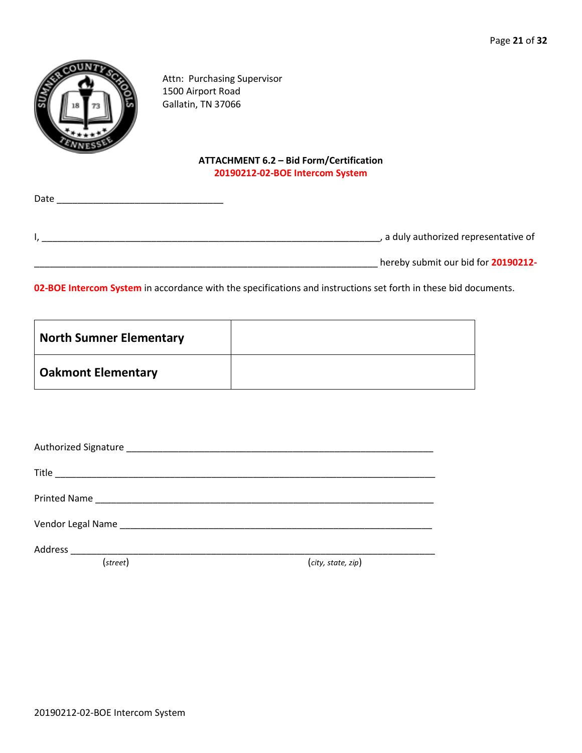

Attn: Purchasing Supervisor 1500 Airport Road Gallatin, TN 37066

# **ATTACHMENT 6.2 – Bid Form/Certification 20190212-02-BOE Intercom System**

| Date |                                     |
|------|-------------------------------------|
|      | a duly authorized representative of |
|      | hereby submit our bid for 20190212- |

**02-BOE Intercom System** in accordance with the specifications and instructions set forth in these bid documents.

| <b>North Sumner Elementary</b> |  |
|--------------------------------|--|
| <b>Oakmont Elementary</b>      |  |

| Vendor Legal Name |                    |
|-------------------|--------------------|
|                   |                    |
| (street)          | (city, state, zip) |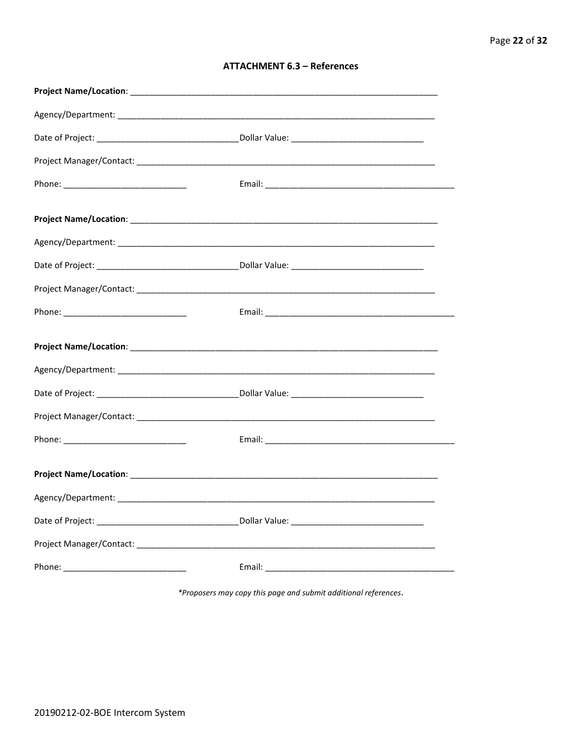| <b>ATTACHMENT 6.3 - References</b> |  |  |
|------------------------------------|--|--|
|------------------------------------|--|--|

\*Proposers may copy this page and submit additional references.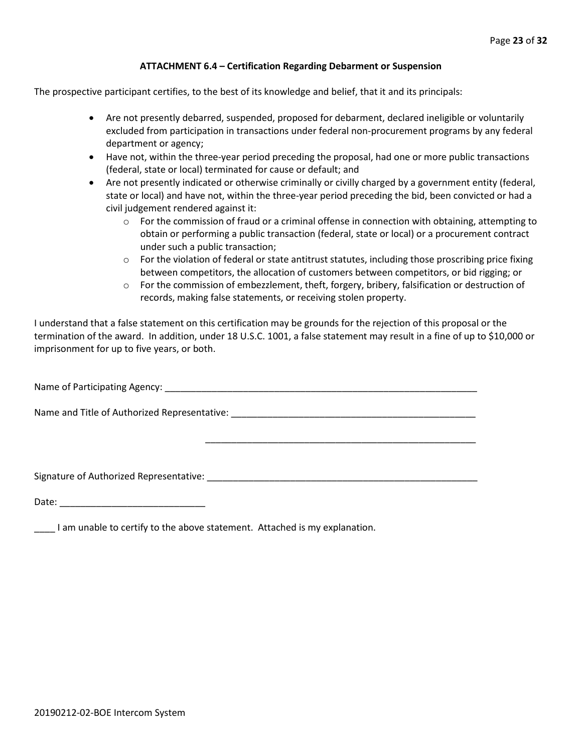# **ATTACHMENT 6.4 – Certification Regarding Debarment or Suspension**

The prospective participant certifies, to the best of its knowledge and belief, that it and its principals:

- Are not presently debarred, suspended, proposed for debarment, declared ineligible or voluntarily excluded from participation in transactions under federal non-procurement programs by any federal department or agency;
- Have not, within the three-year period preceding the proposal, had one or more public transactions (federal, state or local) terminated for cause or default; and
- Are not presently indicated or otherwise criminally or civilly charged by a government entity (federal, state or local) and have not, within the three-year period preceding the bid, been convicted or had a civil judgement rendered against it:
	- $\circ$  For the commission of fraud or a criminal offense in connection with obtaining, attempting to obtain or performing a public transaction (federal, state or local) or a procurement contract under such a public transaction;
	- $\circ$  For the violation of federal or state antitrust statutes, including those proscribing price fixing between competitors, the allocation of customers between competitors, or bid rigging; or
	- $\circ$  For the commission of embezzlement, theft, forgery, bribery, falsification or destruction of records, making false statements, or receiving stolen property.

\_\_\_\_\_\_\_\_\_\_\_\_\_\_\_\_\_\_\_\_\_\_\_\_\_\_\_\_\_\_\_\_\_\_\_\_\_\_\_\_\_\_\_\_\_\_\_\_\_\_\_\_

I understand that a false statement on this certification may be grounds for the rejection of this proposal or the termination of the award. In addition, under 18 U.S.C. 1001, a false statement may result in a fine of up to \$10,000 or imprisonment for up to five years, or both.

Name of Participating Agency: \_\_\_\_\_\_\_\_\_\_\_\_\_\_\_\_\_\_\_\_\_\_\_\_\_\_\_\_\_\_\_\_\_\_\_\_\_\_\_\_\_\_\_\_\_\_\_\_\_\_\_\_\_\_\_\_\_\_\_\_

Name and Title of Authorized Representative: \_\_\_\_\_\_\_\_\_\_\_\_\_\_\_\_\_\_\_\_\_\_\_\_\_\_\_\_\_\_\_\_\_\_\_\_\_\_\_\_\_\_\_\_\_\_\_

Signature of Authorized Representative: \_\_\_\_\_\_\_\_\_\_\_\_\_\_\_\_\_\_\_\_\_\_\_\_\_\_\_\_\_\_\_\_\_\_\_\_\_\_\_\_\_\_\_\_\_\_\_\_\_\_\_\_

Date: \_\_\_\_\_\_\_\_\_\_\_\_\_\_\_\_\_\_\_\_\_\_\_\_\_\_\_\_

\_\_\_\_ I am unable to certify to the above statement. Attached is my explanation.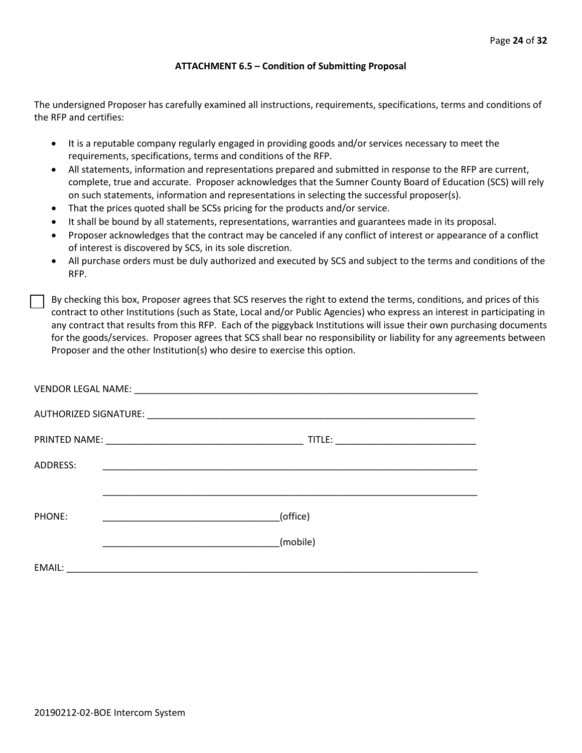# **ATTACHMENT 6.5 – Condition of Submitting Proposal**

The undersigned Proposer has carefully examined all instructions, requirements, specifications, terms and conditions of the RFP and certifies:

- It is a reputable company regularly engaged in providing goods and/or services necessary to meet the requirements, specifications, terms and conditions of the RFP.
- All statements, information and representations prepared and submitted in response to the RFP are current, complete, true and accurate. Proposer acknowledges that the Sumner County Board of Education (SCS) will rely on such statements, information and representations in selecting the successful proposer(s).
- That the prices quoted shall be SCSs pricing for the products and/or service.
- It shall be bound by all statements, representations, warranties and guarantees made in its proposal.
- Proposer acknowledges that the contract may be canceled if any conflict of interest or appearance of a conflict of interest is discovered by SCS, in its sole discretion.
- All purchase orders must be duly authorized and executed by SCS and subject to the terms and conditions of the RFP.

By checking this box, Proposer agrees that SCS reserves the right to extend the terms, conditions, and prices of this contract to other Institutions (such as State, Local and/or Public Agencies) who express an interest in participating in any contract that results from this RFP. Each of the piggyback Institutions will issue their own purchasing documents for the goods/services. Proposer agrees that SCS shall bear no responsibility or liability for any agreements between Proposer and the other Institution(s) who desire to exercise this option.

| ADDRESS: |          |
|----------|----------|
|          |          |
| PHONE:   | (office) |
|          | (mobile) |
| EMAIL:   |          |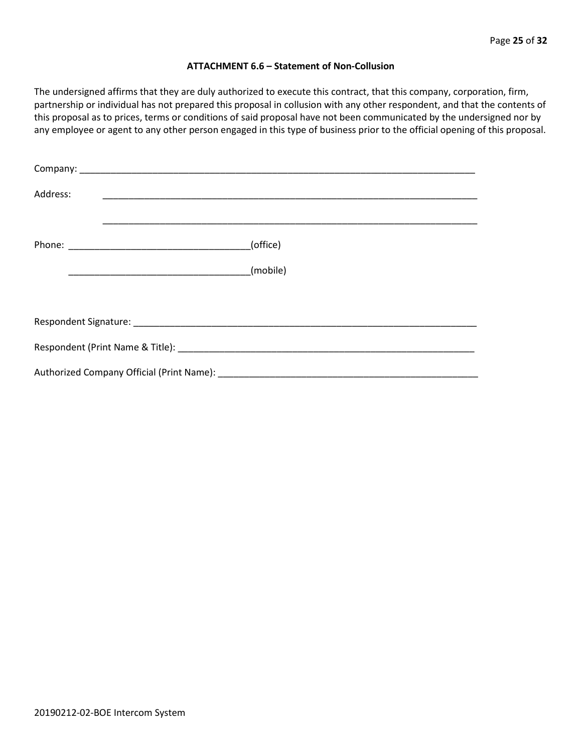## **ATTACHMENT 6.6 – Statement of Non-Collusion**

The undersigned affirms that they are duly authorized to execute this contract, that this company, corporation, firm, partnership or individual has not prepared this proposal in collusion with any other respondent, and that the contents of this proposal as to prices, terms or conditions of said proposal have not been communicated by the undersigned nor by any employee or agent to any other person engaged in this type of business prior to the official opening of this proposal.

| Address: |          |  |  |  |
|----------|----------|--|--|--|
|          | (office) |  |  |  |
|          | (mobile) |  |  |  |
|          |          |  |  |  |
|          |          |  |  |  |
|          |          |  |  |  |
|          |          |  |  |  |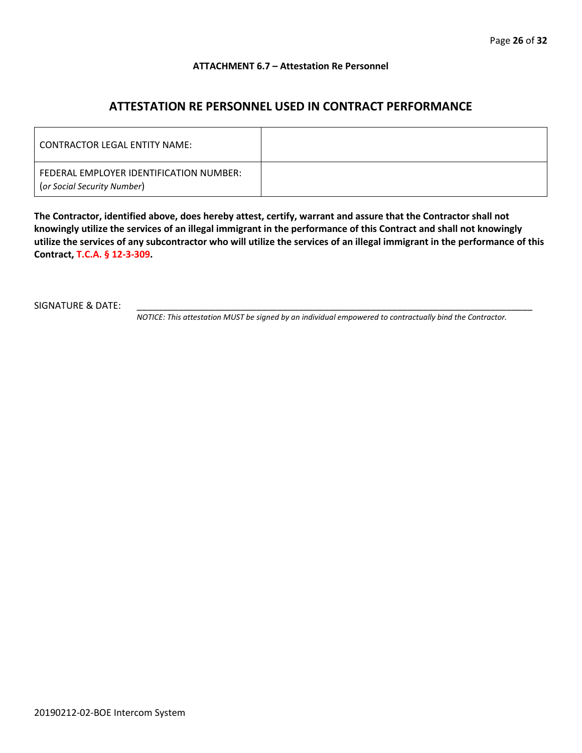# **ATTACHMENT 6.7 – Attestation Re Personnel**

# **ATTESTATION RE PERSONNEL USED IN CONTRACT PERFORMANCE**

| CONTRACTOR LEGAL ENTITY NAME:                                          |  |
|------------------------------------------------------------------------|--|
| FEDERAL EMPLOYER IDENTIFICATION NUMBER:<br>(or Social Security Number) |  |

**The Contractor, identified above, does hereby attest, certify, warrant and assure that the Contractor shall not knowingly utilize the services of an illegal immigrant in the performance of this Contract and shall not knowingly utilize the services of any subcontractor who will utilize the services of an illegal immigrant in the performance of this Contract, T.C.A. § 12-3-309.**

SIGNATURE & DATE:

*NOTICE: This attestation MUST be signed by an individual empowered to contractually bind the Contractor.*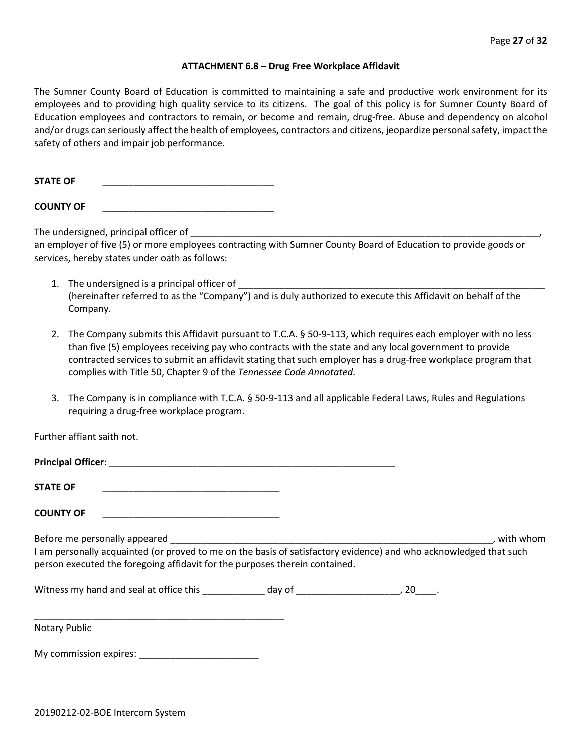#### **ATTACHMENT 6.8 – Drug Free Workplace Affidavit**

The Sumner County Board of Education is committed to maintaining a safe and productive work environment for its employees and to providing high quality service to its citizens. The goal of this policy is for Sumner County Board of Education employees and contractors to remain, or become and remain, drug-free. Abuse and dependency on alcohol and/or drugs can seriously affect the health of employees, contractors and citizens, jeopardize personal safety, impact the safety of others and impair job performance.

**STATE OF** \_\_\_\_\_\_\_\_\_\_\_\_\_\_\_\_\_\_\_\_\_\_\_\_\_\_\_\_\_\_\_\_\_

**COUNTY OF** \_\_\_\_\_\_\_\_\_\_\_\_\_\_\_\_\_\_\_\_\_\_\_\_\_\_\_\_\_\_\_\_\_

The undersigned, principal officer of

an employer of five (5) or more employees contracting with Sumner County Board of Education to provide goods or services, hereby states under oath as follows:

- 1. The undersigned is a principal officer of (hereinafter referred to as the "Company") and is duly authorized to execute this Affidavit on behalf of the Company.
- 2. The Company submits this Affidavit pursuant to T.C.A. § 50-9-113, which requires each employer with no less than five (5) employees receiving pay who contracts with the state and any local government to provide contracted services to submit an affidavit stating that such employer has a drug-free workplace program that complies with Title 50, Chapter 9 of the *Tennessee Code Annotated*.
- 3. The Company is in compliance with T.C.A. § 50-9-113 and all applicable Federal Laws, Rules and Regulations requiring a drug-free workplace program.

Further affiant saith not.

| <b>STATE OF</b>                                                                                                                                                                                  |  |           |
|--------------------------------------------------------------------------------------------------------------------------------------------------------------------------------------------------|--|-----------|
| <b>COUNTY OF</b><br>the contract of the contract of the contract of the contract of the contract of                                                                                              |  |           |
| I am personally acquainted (or proved to me on the basis of satisfactory evidence) and who acknowledged that such<br>person executed the foregoing affidavit for the purposes therein contained. |  | with whom |
|                                                                                                                                                                                                  |  |           |
|                                                                                                                                                                                                  |  |           |

Notary Public

My commission expires: \_\_\_\_\_\_\_\_\_\_\_\_\_\_\_\_\_\_\_\_\_\_\_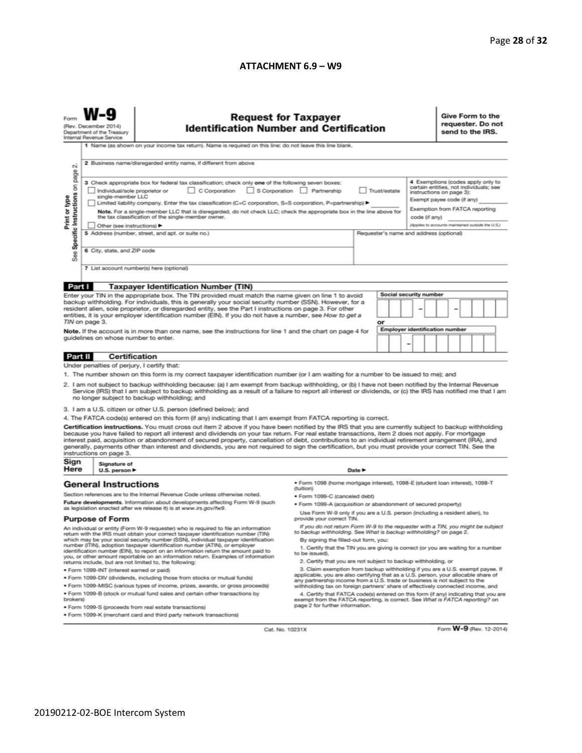# **ATTACHMENT 6.9 – W9**

| $\sim$                                                                                                                                                                                                                                                                                                                                                                                                                                                                                                                                                                                                                                                                                                                                                                                                                                                                                                                                                                                                                                                                                                                                                                                                                                                                                                                                                                                                        | <b>Request for Taxpayer</b><br>(Rev. December 2014)<br><b>Identification Number and Certification</b><br>Department of the Treasury<br>Internal Revenue Service<br>1 Name (as shown on your income tax return). Name is required on this line; do not leave this line blank.<br>2 Business name/disregarded entity name, if different from above |                                                                                                                                                                                                                                                                                                                                                                                                                                                                                                                                                                                                                  |                                                                                                                                                                                                                                                                                                                                                                                                                                                                                                                                                                                                                 |        |  |  |  | Give Form to the<br>requester. Do not<br>send to the IRS. |  |  |  |  |
|---------------------------------------------------------------------------------------------------------------------------------------------------------------------------------------------------------------------------------------------------------------------------------------------------------------------------------------------------------------------------------------------------------------------------------------------------------------------------------------------------------------------------------------------------------------------------------------------------------------------------------------------------------------------------------------------------------------------------------------------------------------------------------------------------------------------------------------------------------------------------------------------------------------------------------------------------------------------------------------------------------------------------------------------------------------------------------------------------------------------------------------------------------------------------------------------------------------------------------------------------------------------------------------------------------------------------------------------------------------------------------------------------------------|--------------------------------------------------------------------------------------------------------------------------------------------------------------------------------------------------------------------------------------------------------------------------------------------------------------------------------------------------|------------------------------------------------------------------------------------------------------------------------------------------------------------------------------------------------------------------------------------------------------------------------------------------------------------------------------------------------------------------------------------------------------------------------------------------------------------------------------------------------------------------------------------------------------------------------------------------------------------------|-----------------------------------------------------------------------------------------------------------------------------------------------------------------------------------------------------------------------------------------------------------------------------------------------------------------------------------------------------------------------------------------------------------------------------------------------------------------------------------------------------------------------------------------------------------------------------------------------------------------|--------|--|--|--|-----------------------------------------------------------|--|--|--|--|
| Specific Instructions on page<br>4 Exemptions (codes apply only to<br>3 Check appropriate box for federal tax classification; check only one of the following seven boxes:<br>certain entities, not individuals; see<br>C Corporation<br>S Corporation Partnership<br>Trust/estate<br>Individual/sole proprietor or<br>instructions on page 3):<br>Print or type<br>single-member LLC<br>Exempt payee code (if any)<br>Limited liability company. Enter the tax classification (C=C corporation, S=S corporation, P=partnership) ▶<br>Exemption from FATCA reporting<br>Note. For a single-member LLC that is disregarded, do not check LLC; check the appropriate box in the line above for<br>the tax classification of the single-member owner.<br>code (if any)<br>(Applies to accounts maintained outside the U.S.)<br>Other (see instructions) ▶<br>5 Address (number, street, and apt. or suite no.)<br>Requester's name and address (optional)<br>6 City, state, and ZIP code<br>See<br>7 List account number(s) here (optional)                                                                                                                                                                                                                                                                                                                                                                      |                                                                                                                                                                                                                                                                                                                                                  |                                                                                                                                                                                                                                                                                                                                                                                                                                                                                                                                                                                                                  |                                                                                                                                                                                                                                                                                                                                                                                                                                                                                                                                                                                                                 |        |  |  |  |                                                           |  |  |  |  |
|                                                                                                                                                                                                                                                                                                                                                                                                                                                                                                                                                                                                                                                                                                                                                                                                                                                                                                                                                                                                                                                                                                                                                                                                                                                                                                                                                                                                               |                                                                                                                                                                                                                                                                                                                                                  |                                                                                                                                                                                                                                                                                                                                                                                                                                                                                                                                                                                                                  |                                                                                                                                                                                                                                                                                                                                                                                                                                                                                                                                                                                                                 |        |  |  |  |                                                           |  |  |  |  |
| Part I<br><b>Taxpayer Identification Number (TIN)</b><br><b>Social security number</b><br>Enter your TIN in the appropriate box. The TIN provided must match the name given on line 1 to avoid<br>backup withholding. For individuals, this is generally your social security number (SSN). However, for a<br>resident alien, sole proprietor, or disregarded entity, see the Part I instructions on page 3. For other<br>entities, it is your employer identification number (EIN). If you do not have a number, see How to get a<br>TIN on page 3.<br>or<br><b>Employer identification number</b><br>Note. If the account is in more than one name, see the instructions for line 1 and the chart on page 4 for<br>guidelines on whose number to enter.<br>-                                                                                                                                                                                                                                                                                                                                                                                                                                                                                                                                                                                                                                                |                                                                                                                                                                                                                                                                                                                                                  |                                                                                                                                                                                                                                                                                                                                                                                                                                                                                                                                                                                                                  |                                                                                                                                                                                                                                                                                                                                                                                                                                                                                                                                                                                                                 |        |  |  |  |                                                           |  |  |  |  |
|                                                                                                                                                                                                                                                                                                                                                                                                                                                                                                                                                                                                                                                                                                                                                                                                                                                                                                                                                                                                                                                                                                                                                                                                                                                                                                                                                                                                               |                                                                                                                                                                                                                                                                                                                                                  |                                                                                                                                                                                                                                                                                                                                                                                                                                                                                                                                                                                                                  |                                                                                                                                                                                                                                                                                                                                                                                                                                                                                                                                                                                                                 |        |  |  |  |                                                           |  |  |  |  |
| Part II                                                                                                                                                                                                                                                                                                                                                                                                                                                                                                                                                                                                                                                                                                                                                                                                                                                                                                                                                                                                                                                                                                                                                                                                                                                                                                                                                                                                       | Certification                                                                                                                                                                                                                                                                                                                                    |                                                                                                                                                                                                                                                                                                                                                                                                                                                                                                                                                                                                                  |                                                                                                                                                                                                                                                                                                                                                                                                                                                                                                                                                                                                                 |        |  |  |  |                                                           |  |  |  |  |
| Under penalties of perjury, I certify that:<br>1. The number shown on this form is my correct taxpayer identification number (or I am waiting for a number to be issued to me); and<br>2. I am not subject to backup withholding because: (a) I am exempt from backup withholding, or (b) I have not been notified by the Internal Revenue<br>Service (IRS) that I am subject to backup withholding as a result of a failure to report all interest or dividends, or (c) the IRS has notified me that I am<br>no longer subject to backup withholding; and<br>3. I am a U.S. citizen or other U.S. person (defined below); and<br>4. The FATCA code(s) entered on this form (if any) indicating that I am exempt from FATCA reporting is correct.<br>Certification instructions. You must cross out item 2 above if you have been notified by the IRS that you are currently subject to backup withholding<br>because you have failed to report all interest and dividends on your tax return. For real estate transactions, item 2 does not apply. For mortgage<br>interest paid, acquisition or abandonment of secured property, cancellation of debt, contributions to an individual retirement arrangement (IRA), and<br>generally, payments other than interest and dividends, you are not required to sign the certification, but you must provide your correct TIN. See the<br>instructions on page 3. |                                                                                                                                                                                                                                                                                                                                                  |                                                                                                                                                                                                                                                                                                                                                                                                                                                                                                                                                                                                                  |                                                                                                                                                                                                                                                                                                                                                                                                                                                                                                                                                                                                                 |        |  |  |  |                                                           |  |  |  |  |
| Sign                                                                                                                                                                                                                                                                                                                                                                                                                                                                                                                                                                                                                                                                                                                                                                                                                                                                                                                                                                                                                                                                                                                                                                                                                                                                                                                                                                                                          | Signature of                                                                                                                                                                                                                                                                                                                                     |                                                                                                                                                                                                                                                                                                                                                                                                                                                                                                                                                                                                                  |                                                                                                                                                                                                                                                                                                                                                                                                                                                                                                                                                                                                                 |        |  |  |  |                                                           |  |  |  |  |
| Here                                                                                                                                                                                                                                                                                                                                                                                                                                                                                                                                                                                                                                                                                                                                                                                                                                                                                                                                                                                                                                                                                                                                                                                                                                                                                                                                                                                                          | U.S. person $\blacktriangleright$                                                                                                                                                                                                                                                                                                                |                                                                                                                                                                                                                                                                                                                                                                                                                                                                                                                                                                                                                  |                                                                                                                                                                                                                                                                                                                                                                                                                                                                                                                                                                                                                 | Date P |  |  |  |                                                           |  |  |  |  |
| <b>General Instructions</b><br>Section references are to the Internal Revenue Code unless otherwise noted.<br>Future developments. Information about developments affecting Form W-9 (such<br>as legislation enacted after we release it) is at www.irs.gov/fw9.<br><b>Purpose of Form</b><br>An individual or entity (Form W-9 requester) who is required to file an information<br>return with the IRS must obtain your correct taxpayer identification number (TIN)<br>which may be your social security number (SSN), individual taxpayer identification<br>number (ITIN), adoption taxpayer identification number (ATIN), or employer<br>identification number (EIN), to report on an information return the amount paid to                                                                                                                                                                                                                                                                                                                                                                                                                                                                                                                                                                                                                                                                              |                                                                                                                                                                                                                                                                                                                                                  | ● Form 1098 (home mortgage interest), 1098-E (student loan interest), 1098-T<br>(tuition)<br>· Form 1099-C (canceled debt)<br>. Form 1099-A (acquisition or abandonment of secured property)<br>Use Form W-9 only if you are a U.S. person (including a resident alien), to<br>provide your correct TIN.<br>If you do not return Form W-9 to the requester with a TIN, you might be subject<br>to backup withholding. See What is backup withholding? on page 2.<br>By signing the filled-out form, you:<br>1. Certify that the TIN you are giving is correct (or you are waiting for a number<br>to be issued). |                                                                                                                                                                                                                                                                                                                                                                                                                                                                                                                                                                                                                 |        |  |  |  |                                                           |  |  |  |  |
| you, or other amount reportable on an information return. Examples of information<br>returns include, but are not limited to, the following:<br>· Form 1099-INT (interest earned or paid)<br>. Form 1099-DIV (dividends, including those from stocks or mutual funds)<br>. Form 1099-MISC (various types of income, prizes, awards, or gross proceeds)<br>. Form 1099-B (stock or mutual fund sales and certain other transactions by<br>brokers)<br>· Form 1099-S (proceeds from real estate transactions)<br>. Form 1099-K (merchant card and third party network transactions)                                                                                                                                                                                                                                                                                                                                                                                                                                                                                                                                                                                                                                                                                                                                                                                                                             |                                                                                                                                                                                                                                                                                                                                                  |                                                                                                                                                                                                                                                                                                                                                                                                                                                                                                                                                                                                                  | 2. Certify that you are not subject to backup withholding, or<br>3. Claim exemption from backup withholding if you are a U.S. exempt payee. If<br>applicable, you are also certifying that as a U.S. person, your allocable share of<br>any partnership income from a U.S. trade or business is not subject to the<br>withholding tax on foreign partners' share of effectively connected income, and<br>4. Certify that FATCA code(s) entered on this form (if any) indicating that you are<br>exempt from the FATCA reporting, is correct. See What is FATCA reporting? on<br>page 2 for further information. |        |  |  |  |                                                           |  |  |  |  |

Cat. No. 10231X

Form **W-9** (Rev. 12-2014)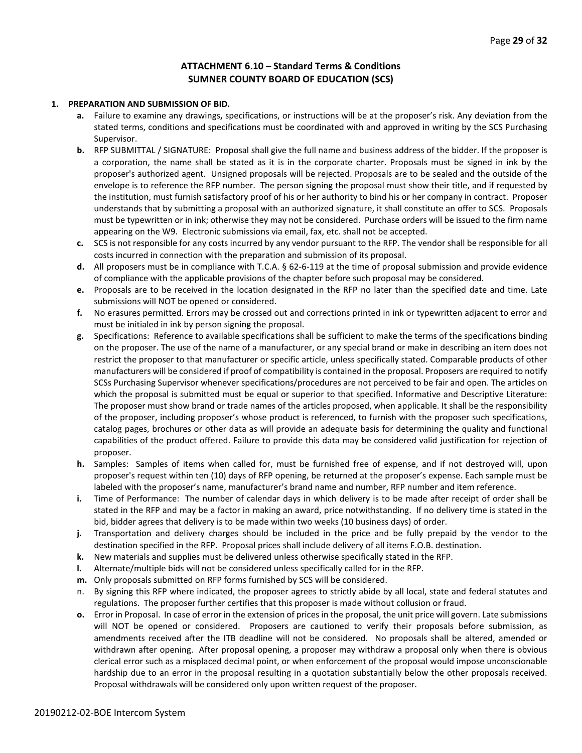# **ATTACHMENT 6.10 – Standard Terms & Conditions SUMNER COUNTY BOARD OF EDUCATION (SCS)**

#### **1. PREPARATION AND SUBMISSION OF BID.**

- **a.** Failure to examine any drawings**,** specifications, or instructions will be at the proposer's risk. Any deviation from the stated terms, conditions and specifications must be coordinated with and approved in writing by the SCS Purchasing Supervisor.
- **b.** RFP SUBMITTAL / SIGNATURE: Proposal shall give the full name and business address of the bidder. If the proposer is a corporation, the name shall be stated as it is in the corporate charter. Proposals must be signed in ink by the proposer's authorized agent. Unsigned proposals will be rejected. Proposals are to be sealed and the outside of the envelope is to reference the RFP number. The person signing the proposal must show their title, and if requested by the institution, must furnish satisfactory proof of his or her authority to bind his or her company in contract. Proposer understands that by submitting a proposal with an authorized signature, it shall constitute an offer to SCS. Proposals must be typewritten or in ink; otherwise they may not be considered. Purchase orders will be issued to the firm name appearing on the W9. Electronic submissions via email, fax, etc. shall not be accepted.
- **c.** SCS is not responsible for any costs incurred by any vendor pursuant to the RFP. The vendor shall be responsible for all costs incurred in connection with the preparation and submission of its proposal.
- **d.** All proposers must be in compliance with T.C.A. § 62-6-119 at the time of proposal submission and provide evidence of compliance with the applicable provisions of the chapter before such proposal may be considered.
- **e.** Proposals are to be received in the location designated in the RFP no later than the specified date and time. Late submissions will NOT be opened or considered.
- **f.** No erasures permitted. Errors may be crossed out and corrections printed in ink or typewritten adjacent to error and must be initialed in ink by person signing the proposal.
- **g.** Specifications: Reference to available specifications shall be sufficient to make the terms of the specifications binding on the proposer. The use of the name of a manufacturer, or any special brand or make in describing an item does not restrict the proposer to that manufacturer or specific article, unless specifically stated. Comparable products of other manufacturers will be considered if proof of compatibility is contained in the proposal. Proposers are required to notify SCSs Purchasing Supervisor whenever specifications/procedures are not perceived to be fair and open. The articles on which the proposal is submitted must be equal or superior to that specified. Informative and Descriptive Literature: The proposer must show brand or trade names of the articles proposed, when applicable. It shall be the responsibility of the proposer, including proposer's whose product is referenced, to furnish with the proposer such specifications, catalog pages, brochures or other data as will provide an adequate basis for determining the quality and functional capabilities of the product offered. Failure to provide this data may be considered valid justification for rejection of proposer.
- **h.** Samples: Samples of items when called for, must be furnished free of expense, and if not destroyed will, upon proposer's request within ten (10) days of RFP opening, be returned at the proposer's expense. Each sample must be labeled with the proposer's name, manufacturer's brand name and number, RFP number and item reference.
- **i.** Time of Performance: The number of calendar days in which delivery is to be made after receipt of order shall be stated in the RFP and may be a factor in making an award, price notwithstanding. If no delivery time is stated in the bid, bidder agrees that delivery is to be made within two weeks (10 business days) of order.
- **j.** Transportation and delivery charges should be included in the price and be fully prepaid by the vendor to the destination specified in the RFP. Proposal prices shall include delivery of all items F.O.B. destination.
- **k.** New materials and supplies must be delivered unless otherwise specifically stated in the RFP.
- **l.** Alternate/multiple bids will not be considered unless specifically called for in the RFP.
- **m.** Only proposals submitted on RFP forms furnished by SCS will be considered.
- n. By signing this RFP where indicated, the proposer agrees to strictly abide by all local, state and federal statutes and regulations. The proposer further certifies that this proposer is made without collusion or fraud.
- **o.** Error in Proposal. In case of error in the extension of prices in the proposal, the unit price will govern. Late submissions will NOT be opened or considered. Proposers are cautioned to verify their proposals before submission, as amendments received after the ITB deadline will not be considered. No proposals shall be altered, amended or withdrawn after opening. After proposal opening, a proposer may withdraw a proposal only when there is obvious clerical error such as a misplaced decimal point, or when enforcement of the proposal would impose unconscionable hardship due to an error in the proposal resulting in a quotation substantially below the other proposals received. Proposal withdrawals will be considered only upon written request of the proposer.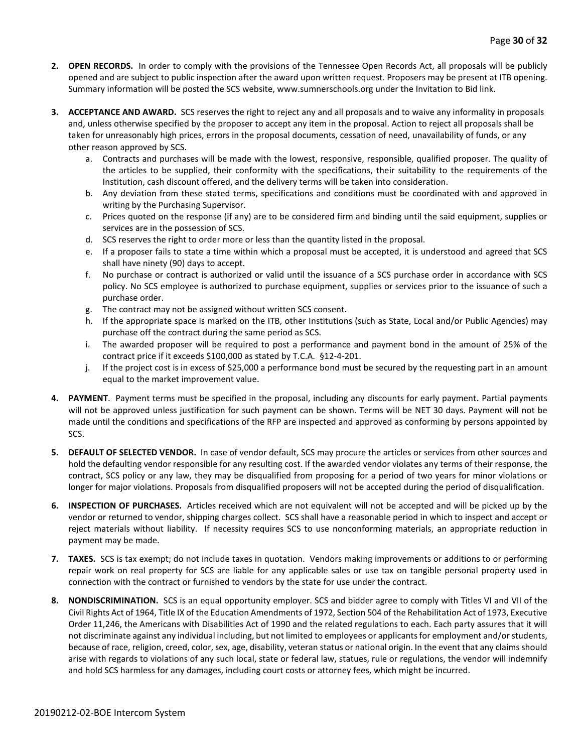- **2. OPEN RECORDS.** In order to comply with the provisions of the Tennessee Open Records Act, all proposals will be publicly opened and are subject to public inspection after the award upon written request. Proposers may be present at ITB opening. Summary information will be posted the SCS website, www.sumnerschools.org under the Invitation to Bid link.
- **3. ACCEPTANCE AND AWARD.** SCS reserves the right to reject any and all proposals and to waive any informality in proposals and, unless otherwise specified by the proposer to accept any item in the proposal. Action to reject all proposals shall be taken for unreasonably high prices, errors in the proposal documents, cessation of need, unavailability of funds, or any other reason approved by SCS.
	- a. Contracts and purchases will be made with the lowest, responsive, responsible, qualified proposer. The quality of the articles to be supplied, their conformity with the specifications, their suitability to the requirements of the Institution, cash discount offered, and the delivery terms will be taken into consideration.
	- b. Any deviation from these stated terms, specifications and conditions must be coordinated with and approved in writing by the Purchasing Supervisor.
	- c. Prices quoted on the response (if any) are to be considered firm and binding until the said equipment, supplies or services are in the possession of SCS.
	- d. SCS reserves the right to order more or less than the quantity listed in the proposal.
	- e. If a proposer fails to state a time within which a proposal must be accepted, it is understood and agreed that SCS shall have ninety (90) days to accept.
	- f. No purchase or contract is authorized or valid until the issuance of a SCS purchase order in accordance with SCS policy. No SCS employee is authorized to purchase equipment, supplies or services prior to the issuance of such a purchase order.
	- g. The contract may not be assigned without written SCS consent.
	- h. If the appropriate space is marked on the ITB, other Institutions (such as State, Local and/or Public Agencies) may purchase off the contract during the same period as SCS.
	- i. The awarded proposer will be required to post a performance and payment bond in the amount of 25% of the contract price if it exceeds \$100,000 as stated by T.C.A. §12-4-201.
	- j. If the project cost is in excess of \$25,000 a performance bond must be secured by the requesting part in an amount equal to the market improvement value.
- **4. PAYMENT**. Payment terms must be specified in the proposal, including any discounts for early payment. Partial payments will not be approved unless justification for such payment can be shown. Terms will be NET 30 days. Payment will not be made until the conditions and specifications of the RFP are inspected and approved as conforming by persons appointed by SCS.
- **5. DEFAULT OF SELECTED VENDOR.** In case of vendor default, SCS may procure the articles or services from other sources and hold the defaulting vendor responsible for any resulting cost. If the awarded vendor violates any terms of their response, the contract, SCS policy or any law, they may be disqualified from proposing for a period of two years for minor violations or longer for major violations. Proposals from disqualified proposers will not be accepted during the period of disqualification.
- **6. INSPECTION OF PURCHASES.** Articles received which are not equivalent will not be accepted and will be picked up by the vendor or returned to vendor, shipping charges collect. SCS shall have a reasonable period in which to inspect and accept or reject materials without liability. If necessity requires SCS to use nonconforming materials, an appropriate reduction in payment may be made.
- **7. TAXES.** SCS is tax exempt; do not include taxes in quotation. Vendors making improvements or additions to or performing repair work on real property for SCS are liable for any applicable sales or use tax on tangible personal property used in connection with the contract or furnished to vendors by the state for use under the contract.
- **8. NONDISCRIMINATION.** SCS is an equal opportunity employer. SCS and bidder agree to comply with Titles VI and VII of the Civil Rights Act of 1964, Title IX of the Education Amendments of 1972, Section 504 of the Rehabilitation Act of 1973, Executive Order 11,246, the Americans with Disabilities Act of 1990 and the related regulations to each. Each party assures that it will not discriminate against any individual including, but not limited to employees or applicants for employment and/or students, because of race, religion, creed, color, sex, age, disability, veteran status or national origin. In the event that any claims should arise with regards to violations of any such local, state or federal law, statues, rule or regulations, the vendor will indemnify and hold SCS harmless for any damages, including court costs or attorney fees, which might be incurred.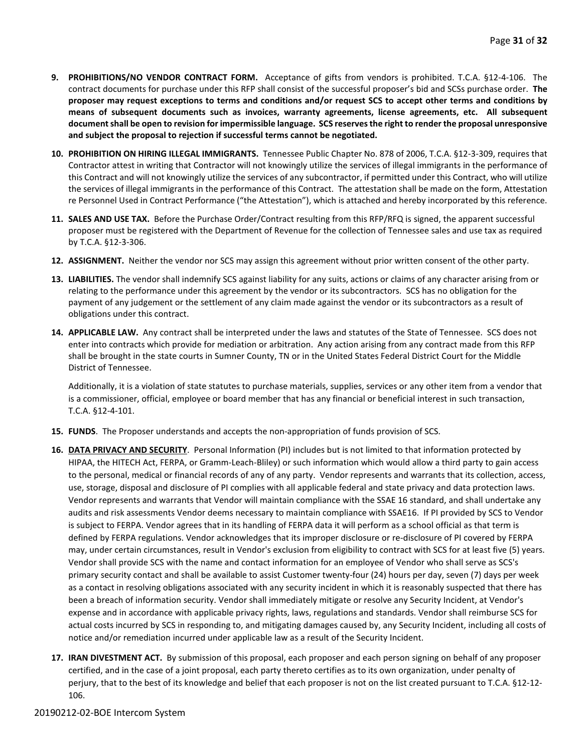- **9. PROHIBITIONS/NO VENDOR CONTRACT FORM.** Acceptance of gifts from vendors is prohibited. T.C.A. §12-4-106. The contract documents for purchase under this RFP shall consist of the successful proposer's bid and SCSs purchase order. **The proposer may request exceptions to terms and conditions and/or request SCS to accept other terms and conditions by means of subsequent documents such as invoices, warranty agreements, license agreements, etc. All subsequent document shall be open to revision for impermissible language. SCS reserves the right to render the proposal unresponsive and subject the proposal to rejection if successful terms cannot be negotiated.**
- **10. PROHIBITION ON HIRING ILLEGAL IMMIGRANTS.** Tennessee Public Chapter No. 878 of 2006, T.C.A. §12-3-309, requires that Contractor attest in writing that Contractor will not knowingly utilize the services of illegal immigrants in the performance of this Contract and will not knowingly utilize the services of any subcontractor, if permitted under this Contract, who will utilize the services of illegal immigrants in the performance of this Contract. The attestation shall be made on the form, Attestation re Personnel Used in Contract Performance ("the Attestation"), which is attached and hereby incorporated by this reference.
- **11. SALES AND USE TAX.** Before the Purchase Order/Contract resulting from this RFP/RFQ is signed, the apparent successful proposer must be registered with the Department of Revenue for the collection of Tennessee sales and use tax as required by T.C.A. §12-3-306.
- **12. ASSIGNMENT.** Neither the vendor nor SCS may assign this agreement without prior written consent of the other party.
- **13. LIABILITIES.** The vendor shall indemnify SCS against liability for any suits, actions or claims of any character arising from or relating to the performance under this agreement by the vendor or its subcontractors. SCS has no obligation for the payment of any judgement or the settlement of any claim made against the vendor or its subcontractors as a result of obligations under this contract.
- **14. APPLICABLE LAW.** Any contract shall be interpreted under the laws and statutes of the State of Tennessee. SCS does not enter into contracts which provide for mediation or arbitration. Any action arising from any contract made from this RFP shall be brought in the state courts in Sumner County, TN or in the United States Federal District Court for the Middle District of Tennessee.

Additionally, it is a violation of state statutes to purchase materials, supplies, services or any other item from a vendor that is a commissioner, official, employee or board member that has any financial or beneficial interest in such transaction, T.C.A. §12-4-101.

- **15. FUNDS**. The Proposer understands and accepts the non-appropriation of funds provision of SCS.
- **16. DATA PRIVACY AND SECURITY**. Personal Information (PI) includes but is not limited to that information protected by HIPAA, the HITECH Act, FERPA, or Gramm-Leach-Bliley) or such information which would allow a third party to gain access to the personal, medical or financial records of any of any party. Vendor represents and warrants that its collection, access, use, storage, disposal and disclosure of PI complies with all applicable federal and state privacy and data protection laws. Vendor represents and warrants that Vendor will maintain compliance with the SSAE 16 standard, and shall undertake any audits and risk assessments Vendor deems necessary to maintain compliance with SSAE16. If PI provided by SCS to Vendor is subject to FERPA. Vendor agrees that in its handling of FERPA data it will perform as a school official as that term is defined by FERPA regulations. Vendor acknowledges that its improper disclosure or re-disclosure of PI covered by FERPA may, under certain circumstances, result in Vendor's exclusion from eligibility to contract with SCS for at least five (5) years. Vendor shall provide SCS with the name and contact information for an employee of Vendor who shall serve as SCS's primary security contact and shall be available to assist Customer twenty-four (24) hours per day, seven (7) days per week as a contact in resolving obligations associated with any security incident in which it is reasonably suspected that there has been a breach of information security. Vendor shall immediately mitigate or resolve any Security Incident, at Vendor's expense and in accordance with applicable privacy rights, laws, regulations and standards. Vendor shall reimburse SCS for actual costs incurred by SCS in responding to, and mitigating damages caused by, any Security Incident, including all costs of notice and/or remediation incurred under applicable law as a result of the Security Incident.
- **17. IRAN DIVESTMENT ACT.** By submission of this proposal, each proposer and each person signing on behalf of any proposer certified, and in the case of a joint proposal, each party thereto certifies as to its own organization, under penalty of perjury, that to the best of its knowledge and belief that each proposer is not on the list created pursuant to T.C.A. §12-12- 106.